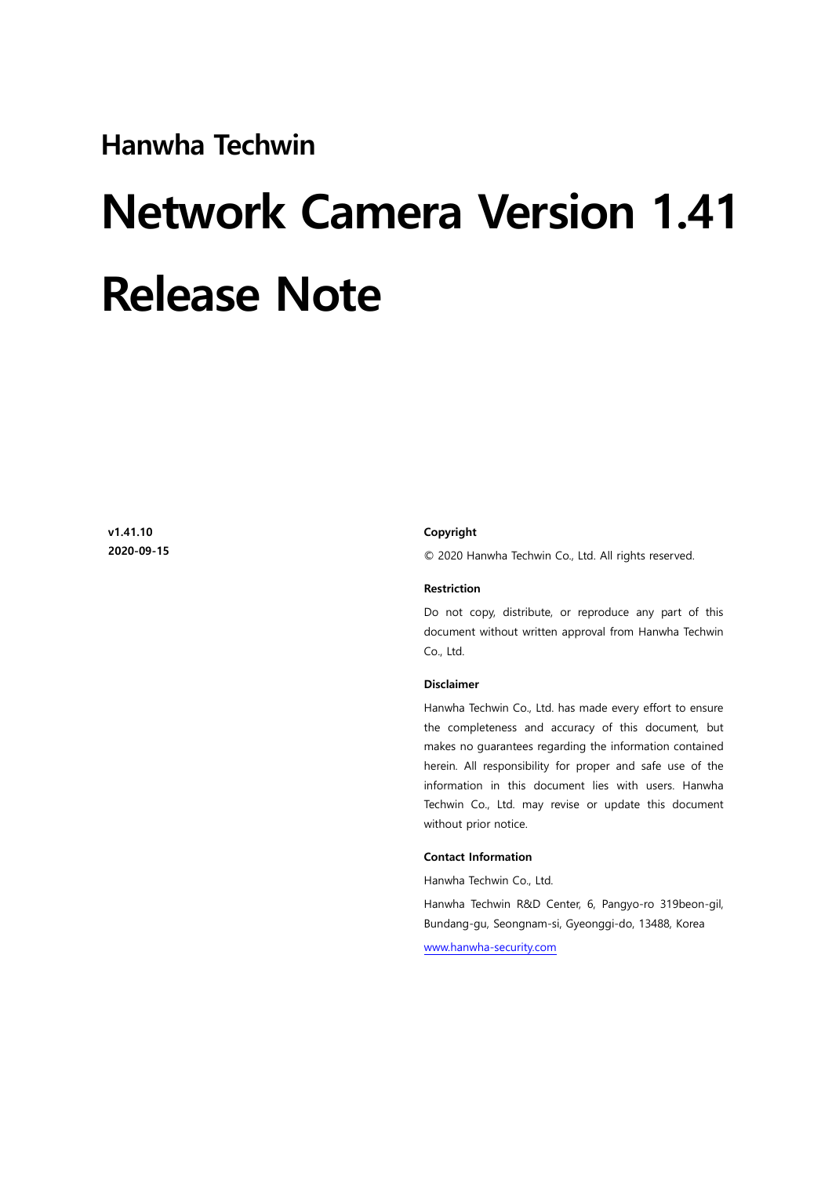**Hanwha Techwin** 

# **Network Camera Version 1.41 Release Note**

**v1.41.10 2020-09-15**

#### **Copyright**

© 2020 Hanwha Techwin Co., Ltd. All rights reserved.

#### **Restriction**

Do not copy, distribute, or reproduce any part of this document without written approval from Hanwha Techwin Co., Ltd.

#### **Disclaimer**

Hanwha Techwin Co., Ltd. has made every effort to ensure the completeness and accuracy of this document, but makes no guarantees regarding the information contained herein. All responsibility for proper and safe use of the information in this document lies with users. Hanwha Techwin Co., Ltd. may revise or update this document without prior notice.

#### **Contact Information**

Hanwha Techwin Co., Ltd.

Hanwha Techwin R&D Center, 6, Pangyo-ro 319beon-gil, Bundang-gu, Seongnam-si, Gyeonggi-do, 13488, Korea

[www.hanwha-security.com](http://step.hanwha-security.com/)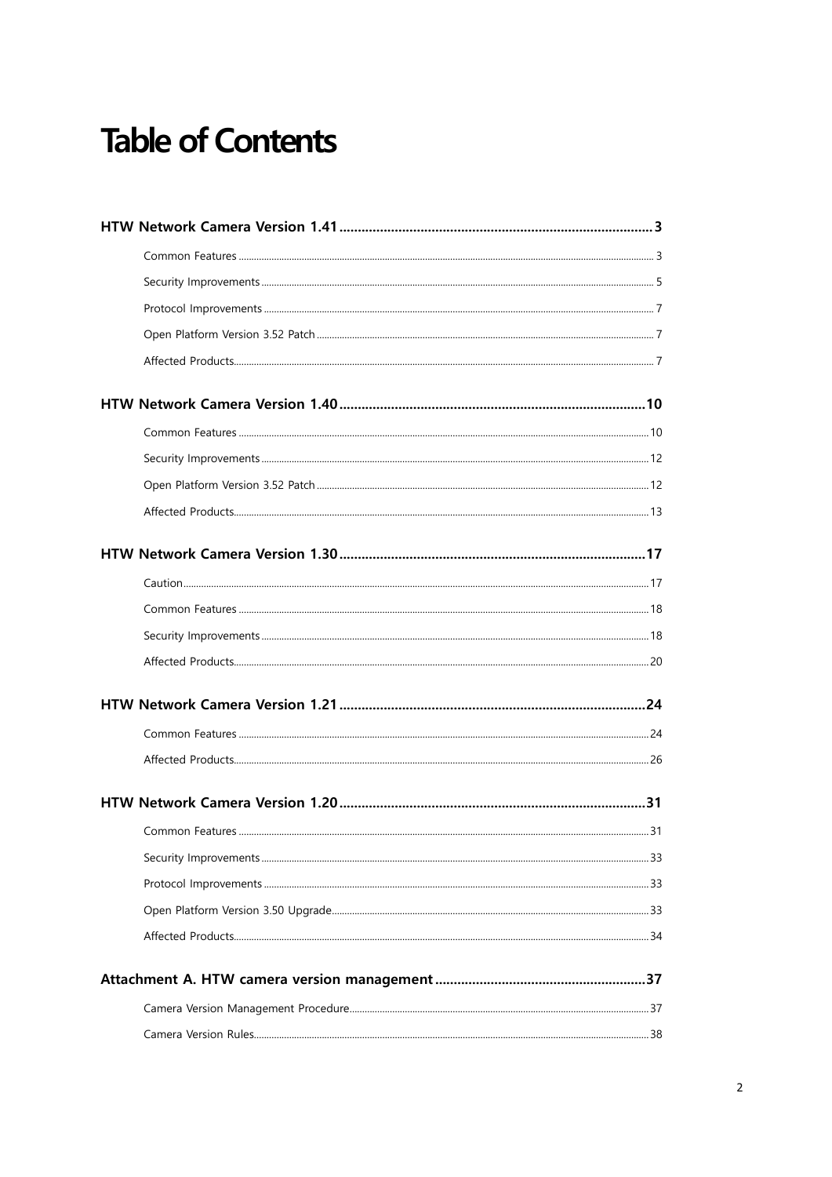## **Table of Contents**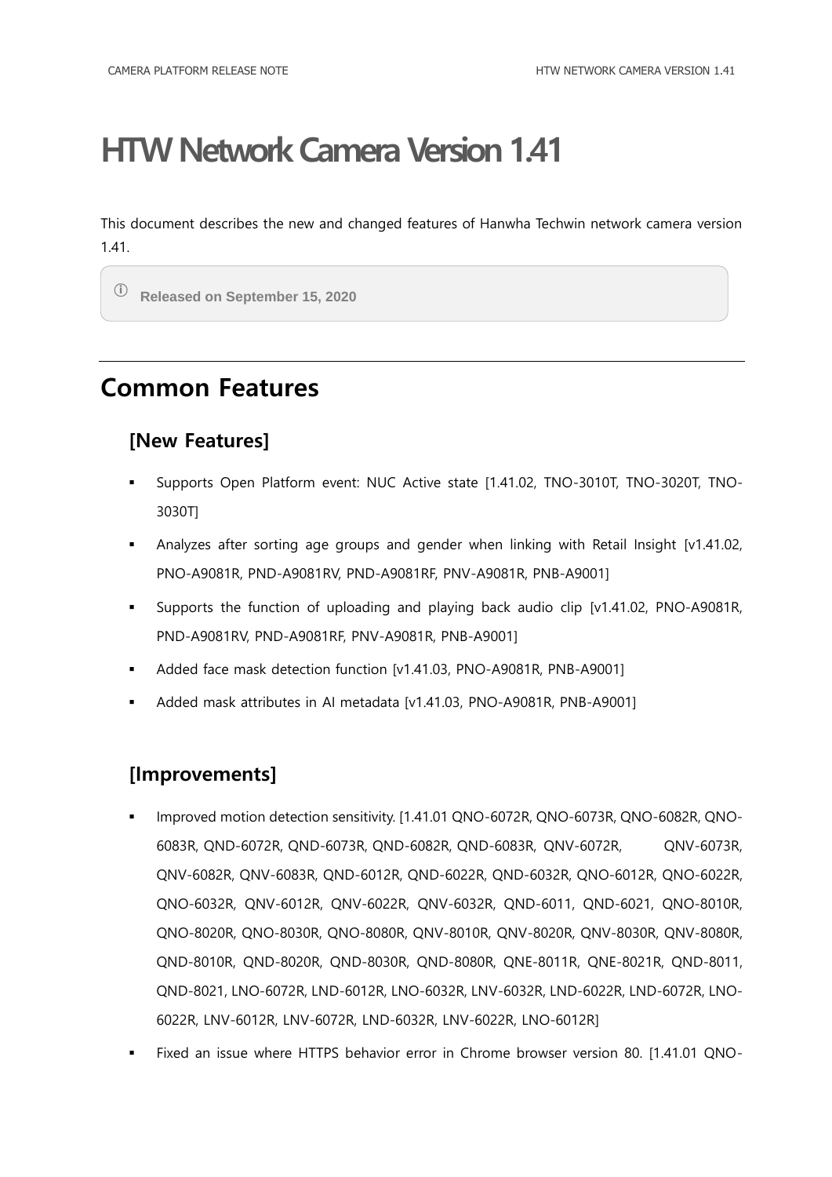<span id="page-2-0"></span>This document describes the new and changed features of Hanwha Techwin network camera version 1.41.

ⓘ **Released on September 15, 2020**

### <span id="page-2-1"></span>**Common Features**

#### **[New Features]**

- Supports Open Platform event: NUC Active state [1.41.02, TNO-3010T, TNO-3020T, TNO-3030T]
- Analyzes after sorting age groups and gender when linking with Retail Insight [v1.41.02, PNO-A9081R, PND-A9081RV, PND-A9081RF, PNV-A9081R, PNB-A9001]
- Supports the function of uploading and playing back audio clip [v1.41.02, PNO-A9081R, PND-A9081RV, PND-A9081RF, PNV-A9081R, PNB-A9001]
- Added face mask detection function [v1.41.03, PNO-A9081R, PNB-A9001]
- Added mask attributes in AI metadata [v1.41.03, PNO-A9081R, PNB-A9001]

#### **[Improvements]**

- Improved motion detection sensitivity. [1.41.01 QNO-6072R, QNO-6073R, QNO-6082R, QNO-6083R, QND-6072R, QND-6073R, QND-6082R, QND-6083R, QNV-6072R, QNV-6073R, QNV-6082R, QNV-6083R, QND-6012R, QND-6022R, QND-6032R, QNO-6012R, QNO-6022R, QNO-6032R, QNV-6012R, QNV-6022R, QNV-6032R, QND-6011, QND-6021, QNO-8010R, QNO-8020R, QNO-8030R, QNO-8080R, QNV-8010R, QNV-8020R, QNV-8030R, QNV-8080R, QND-8010R, QND-8020R, QND-8030R, QND-8080R, QNE-8011R, QNE-8021R, QND-8011, QND-8021, LNO-6072R, LND-6012R, LNO-6032R, LNV-6032R, LND-6022R, LND-6072R, LNO-6022R, LNV-6012R, LNV-6072R, LND-6032R, LNV-6022R, LNO-6012R]
- Fixed an issue where HTTPS behavior error in Chrome browser version 80. [1.41.01 QNO-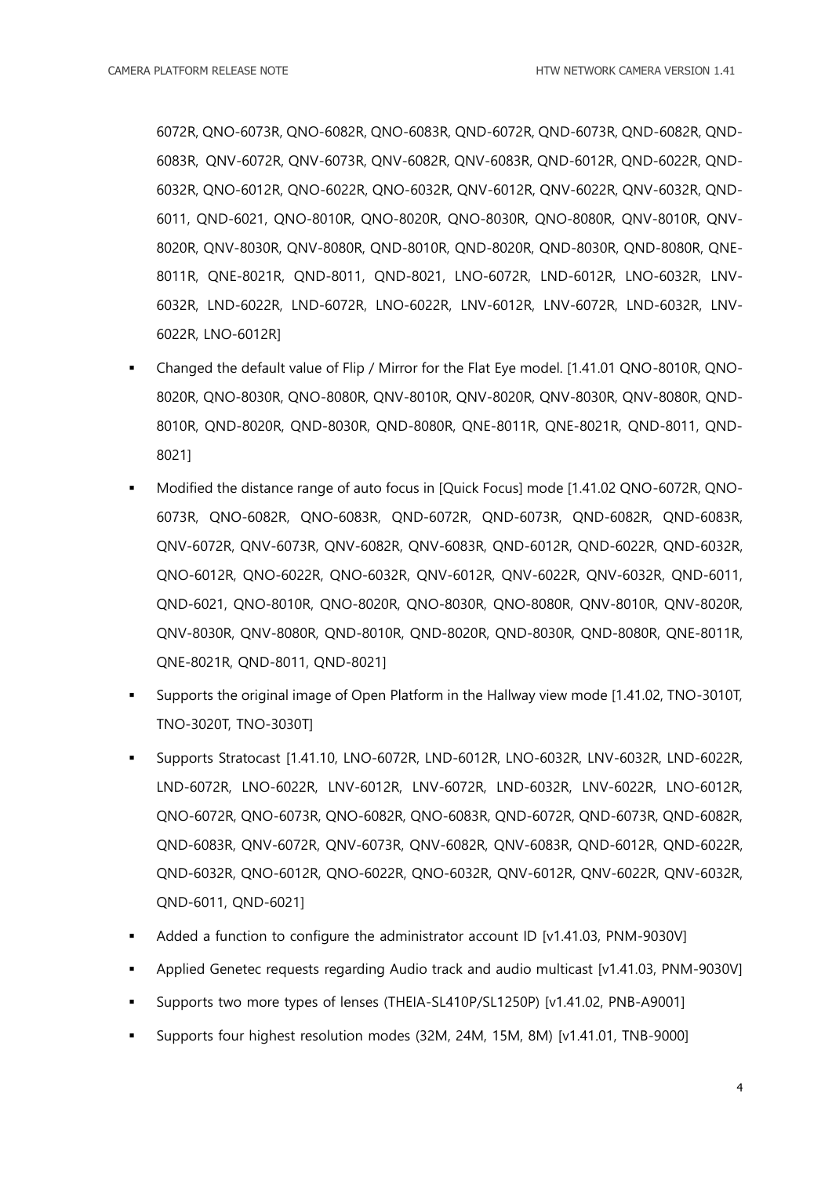6072R, QNO-6073R, QNO-6082R, QNO-6083R, QND-6072R, QND-6073R, QND-6082R, QND-6083R, QNV-6072R, QNV-6073R, QNV-6082R, QNV-6083R, QND-6012R, QND-6022R, QND-6032R, QNO-6012R, QNO-6022R, QNO-6032R, QNV-6012R, QNV-6022R, QNV-6032R, QND-6011, QND-6021, QNO-8010R, QNO-8020R, QNO-8030R, QNO-8080R, QNV-8010R, QNV-8020R, QNV-8030R, QNV-8080R, QND-8010R, QND-8020R, QND-8030R, QND-8080R, QNE-8011R, QNE-8021R, QND-8011, QND-8021, LNO-6072R, LND-6012R, LNO-6032R, LNV-6032R, LND-6022R, LND-6072R, LNO-6022R, LNV-6012R, LNV-6072R, LND-6032R, LNV-6022R, LNO-6012R]

- Changed the default value of Flip / Mirror for the Flat Eye model. [1.41.01 QNO-8010R, QNO-8020R, QNO-8030R, QNO-8080R, QNV-8010R, QNV-8020R, QNV-8030R, QNV-8080R, QND-8010R, QND-8020R, QND-8030R, QND-8080R, QNE-8011R, QNE-8021R, QND-8011, QND-8021]
- Modified the distance range of auto focus in [Quick Focus] mode [1.41.02 QNO-6072R, QNO-6073R, QNO-6082R, QNO-6083R, QND-6072R, QND-6073R, QND-6082R, QND-6083R, QNV-6072R, QNV-6073R, QNV-6082R, QNV-6083R, QND-6012R, QND-6022R, QND-6032R, QNO-6012R, QNO-6022R, QNO-6032R, QNV-6012R, QNV-6022R, QNV-6032R, QND-6011, QND-6021, QNO-8010R, QNO-8020R, QNO-8030R, QNO-8080R, QNV-8010R, QNV-8020R, QNV-8030R, QNV-8080R, QND-8010R, QND-8020R, QND-8030R, QND-8080R, QNE-8011R, QNE-8021R, QND-8011, QND-8021]
- Supports the original image of Open Platform in the Hallway view mode [1.41.02, TNO-3010T, TNO-3020T, TNO-3030T]
- Supports Stratocast [1.41.10, LNO-6072R, LND-6012R, LNO-6032R, LNV-6032R, LND-6022R, LND-6072R, LNO-6022R, LNV-6012R, LNV-6072R, LND-6032R, LNV-6022R, LNO-6012R, QNO-6072R, QNO-6073R, QNO-6082R, QNO-6083R, QND-6072R, QND-6073R, QND-6082R, QND-6083R, QNV-6072R, QNV-6073R, QNV-6082R, QNV-6083R, QND-6012R, QND-6022R, QND-6032R, QNO-6012R, QNO-6022R, QNO-6032R, QNV-6012R, QNV-6022R, QNV-6032R, QND-6011, QND-6021]
- Added a function to configure the administrator account ID [v1.41.03, PNM-9030V]
- Applied Genetec requests regarding Audio track and audio multicast [v1.41.03, PNM-9030V]
- Supports two more types of lenses (THEIA-SL410P/SL1250P) [v1.41.02, PNB-A9001]
- Supports four highest resolution modes (32M, 24M, 15M, 8M) [v1.41.01, TNB-9000]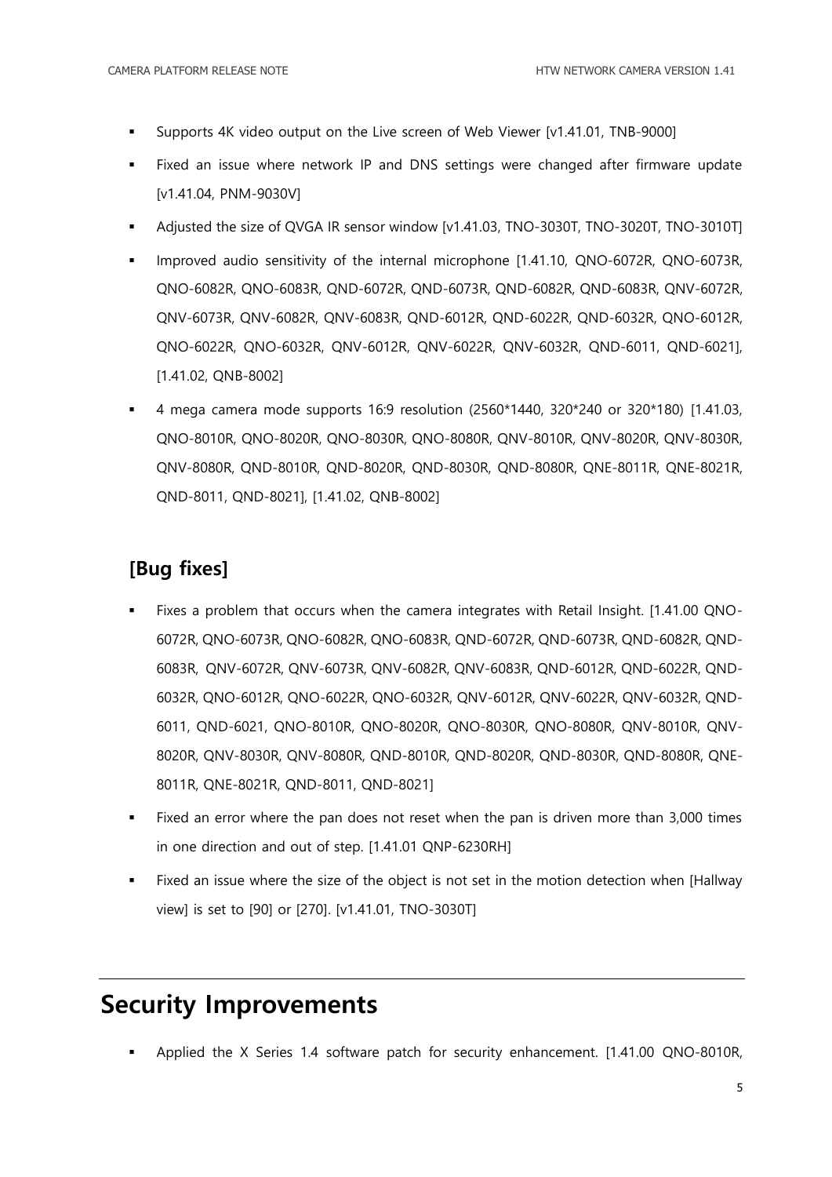- Supports 4K video output on the Live screen of Web Viewer [v1.41.01, TNB-9000]
- Fixed an issue where network IP and DNS settings were changed after firmware update [v1.41.04, PNM-9030V]
- Adjusted the size of QVGA IR sensor window [v1.41.03, TNO-3030T, TNO-3020T, TNO-3010T]
- Improved audio sensitivity of the internal microphone [1.41.10, QNO-6072R, QNO-6073R, QNO-6082R, QNO-6083R, QND-6072R, QND-6073R, QND-6082R, QND-6083R, QNV-6072R, QNV-6073R, QNV-6082R, QNV-6083R, QND-6012R, QND-6022R, QND-6032R, QNO-6012R, QNO-6022R, QNO-6032R, QNV-6012R, QNV-6022R, QNV-6032R, QND-6011, QND-6021], [1.41.02, QNB-8002]
- 4 mega camera mode supports 16:9 resolution (2560\*1440, 320\*240 or 320\*180) [1.41.03, QNO-8010R, QNO-8020R, QNO-8030R, QNO-8080R, QNV-8010R, QNV-8020R, QNV-8030R, QNV-8080R, QND-8010R, QND-8020R, QND-8030R, QND-8080R, QNE-8011R, QNE-8021R, QND-8011, QND-8021], [1.41.02, QNB-8002]

#### **[Bug fixes]**

- Fixes a problem that occurs when the camera integrates with Retail Insight. [1.41.00 QNO-6072R, QNO-6073R, QNO-6082R, QNO-6083R, QND-6072R, QND-6073R, QND-6082R, QND-6083R, QNV-6072R, QNV-6073R, QNV-6082R, QNV-6083R, QND-6012R, QND-6022R, QND-6032R, QNO-6012R, QNO-6022R, QNO-6032R, QNV-6012R, QNV-6022R, QNV-6032R, QND-6011, QND-6021, QNO-8010R, QNO-8020R, QNO-8030R, QNO-8080R, QNV-8010R, QNV-8020R, QNV-8030R, QNV-8080R, QND-8010R, QND-8020R, QND-8030R, QND-8080R, QNE-8011R, QNE-8021R, QND-8011, QND-8021]
- Fixed an error where the pan does not reset when the pan is driven more than 3,000 times in one direction and out of step. [1.41.01 QNP-6230RH]
- Fixed an issue where the size of the object is not set in the motion detection when [Hallway view] is set to [90] or [270]. [v1.41.01, TNO-3030T]

### <span id="page-4-0"></span>**Security Improvements**

Applied the X Series 1.4 software patch for security enhancement. [1.41.00 QNO-8010R,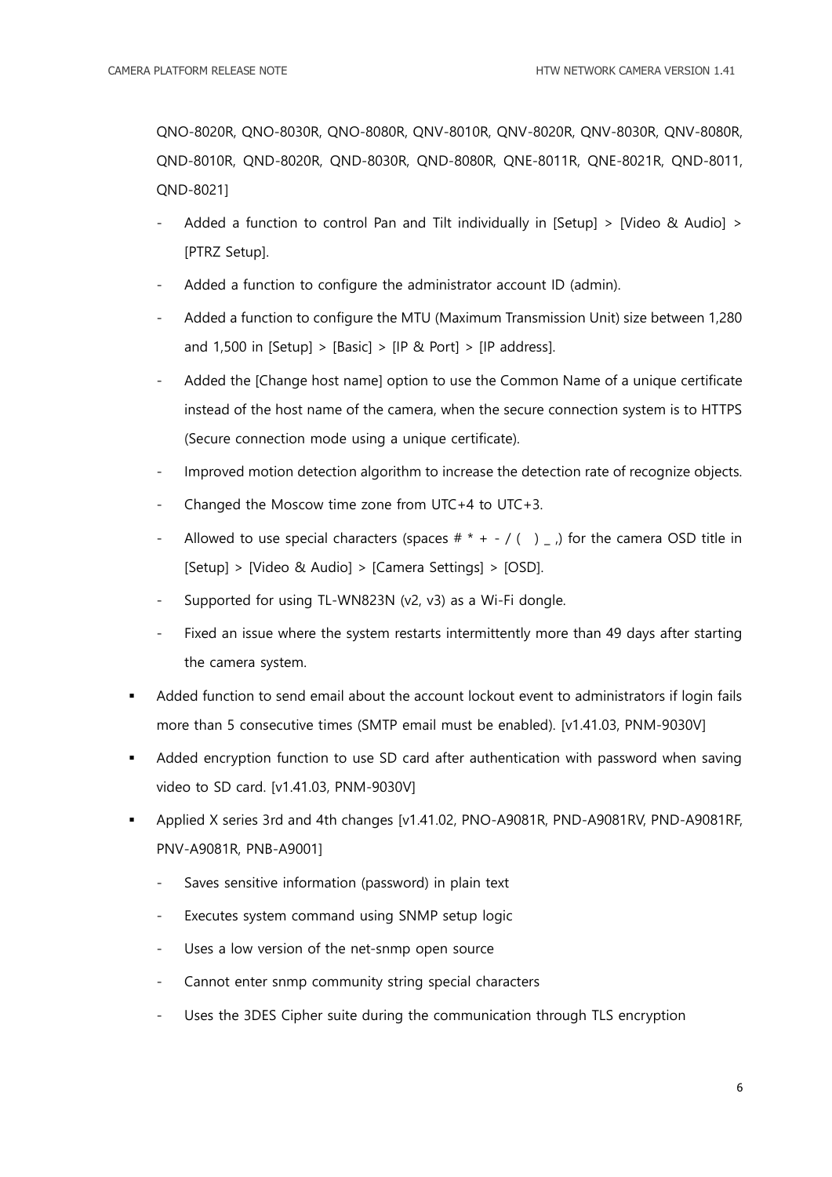QNO-8020R, QNO-8030R, QNO-8080R, QNV-8010R, QNV-8020R, QNV-8030R, QNV-8080R, QND-8010R, QND-8020R, QND-8030R, QND-8080R, QNE-8011R, QNE-8021R, QND-8011, QND-8021]

- Added a function to control Pan and Tilt individually in [Setup]  $>$  [Video & Audio]  $>$ [PTRZ Setup].
- Added a function to configure the administrator account ID (admin).
- Added a function to configure the MTU (Maximum Transmission Unit) size between 1,280 and 1,500 in  $[Setup] > [Basic] > [IP \& Port] > [IP \; address].$
- Added the [Change host name] option to use the Common Name of a unique certificate instead of the host name of the camera, when the secure connection system is to HTTPS (Secure connection mode using a unique certificate).
- Improved motion detection algorithm to increase the detection rate of recognize objects.
- Changed the Moscow time zone from UTC+4 to UTC+3.
- Allowed to use special characters (spaces  $#$  \* + / () \_, for the camera OSD title in [Setup] > [Video & Audio] > [Camera Settings] > [OSD].
- Supported for using TL-WN823N (v2, v3) as a Wi-Fi dongle.
- Fixed an issue where the system restarts intermittently more than 49 days after starting the camera system.
- Added function to send email about the account lockout event to administrators if login fails more than 5 consecutive times (SMTP email must be enabled). [v1.41.03, PNM-9030V]
- Added encryption function to use SD card after authentication with password when saving video to SD card. [v1.41.03, PNM-9030V]
- Applied X series 3rd and 4th changes [v1.41.02, PNO-A9081R, PND-A9081RV, PND-A9081RF, PNV-A9081R, PNB-A9001]
	- Saves sensitive information (password) in plain text
	- Executes system command using SNMP setup logic
	- Uses a low version of the net-snmp open source
	- Cannot enter snmp community string special characters
	- Uses the 3DES Cipher suite during the communication through TLS encryption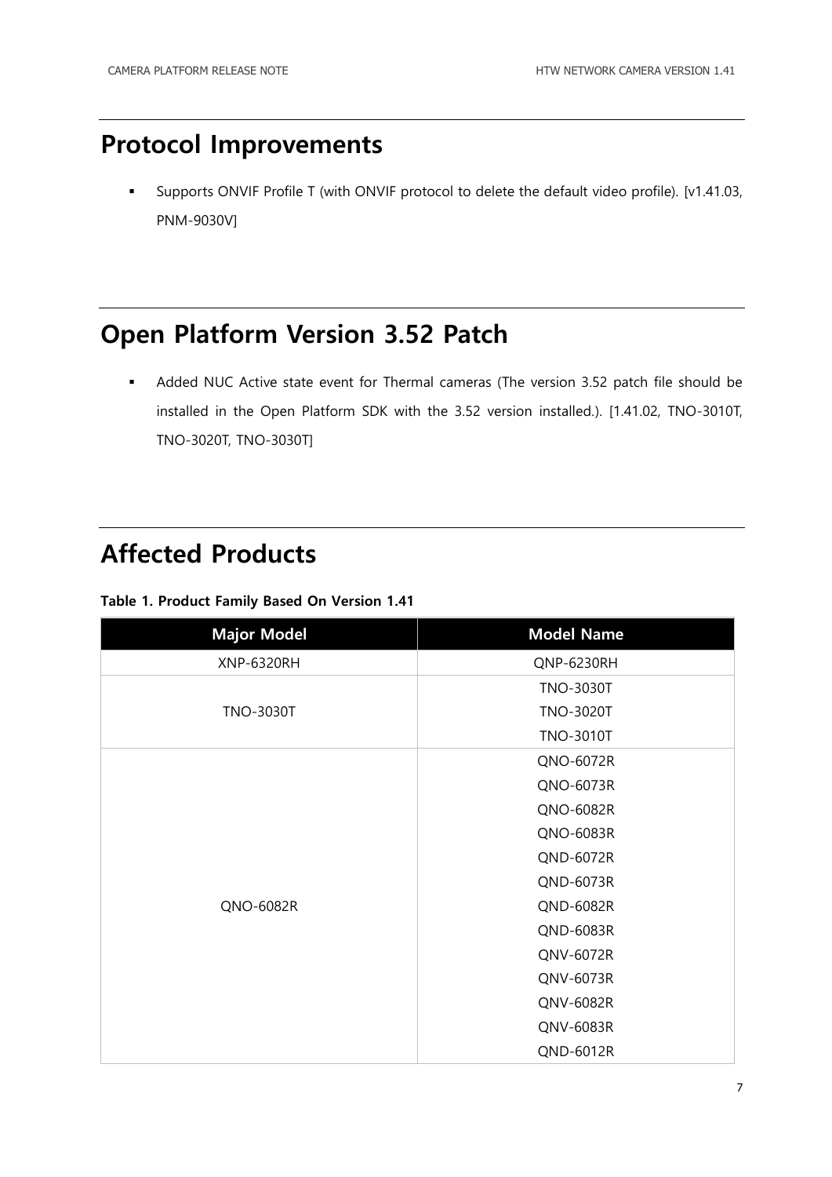### <span id="page-6-0"></span>**Protocol Improvements**

 Supports ONVIF Profile T (with ONVIF protocol to delete the default video profile). [v1.41.03, PNM-9030V]

### <span id="page-6-1"></span>**Open Platform Version 3.52 Patch**

 Added NUC Active state event for Thermal cameras (The version 3.52 patch file should be installed in the Open Platform SDK with the 3.52 version installed.). [1.41.02, TNO-3010T, TNO-3020T, TNO-3030T]

#### <span id="page-6-2"></span>**Affected Products**

#### **Table 1. Product Family Based On Version 1.41**

| <b>Major Model</b> | <b>Model Name</b> |
|--------------------|-------------------|
| <b>XNP-6320RH</b>  | QNP-6230RH        |
|                    | <b>TNO-3030T</b>  |
| <b>TNO-3030T</b>   | <b>TNO-3020T</b>  |
|                    | <b>TNO-3010T</b>  |
|                    | QNO-6072R         |
|                    | QNO-6073R         |
|                    | QNO-6082R         |
|                    | QNO-6083R         |
|                    | QND-6072R         |
|                    | QND-6073R         |
| QNO-6082R          | QND-6082R         |
|                    | QND-6083R         |
|                    | QNV-6072R         |
|                    | QNV-6073R         |
|                    | QNV-6082R         |
|                    | QNV-6083R         |
|                    | QND-6012R         |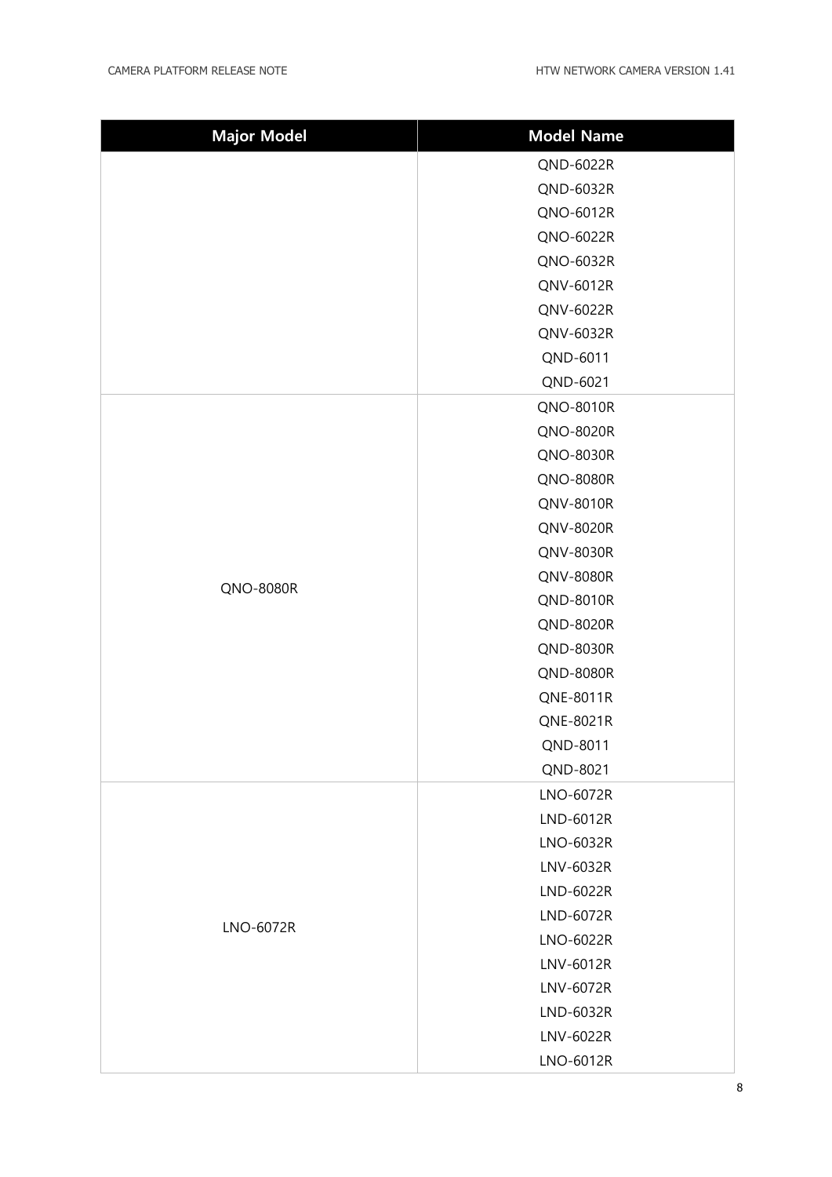| <b>Major Model</b> | <b>Model Name</b> |
|--------------------|-------------------|
|                    | QND-6022R         |
|                    | QND-6032R         |
|                    | QNO-6012R         |
|                    | QNO-6022R         |
|                    | QNO-6032R         |
|                    | QNV-6012R         |
|                    | QNV-6022R         |
|                    | QNV-6032R         |
|                    | QND-6011          |
|                    | QND-6021          |
|                    | QNO-8010R         |
|                    | QNO-8020R         |
|                    | QNO-8030R         |
|                    | <b>QNO-8080R</b>  |
|                    | QNV-8010R         |
|                    | QNV-8020R         |
|                    | QNV-8030R         |
| QNO-8080R          | QNV-8080R         |
|                    | QND-8010R         |
|                    | QND-8020R         |
|                    | QND-8030R         |
|                    | <b>QND-8080R</b>  |
|                    | QNE-8011R         |
|                    | QNE-8021R         |
|                    | QND-8011          |
|                    | QND-8021          |
|                    | LNO-6072R         |
|                    | LND-6012R         |
|                    | LNO-6032R         |
|                    | LNV-6032R         |
| LNO-6072R          | LND-6022R         |
|                    | LND-6072R         |
|                    | LNO-6022R         |
|                    | LNV-6012R         |
|                    | LNV-6072R         |
|                    | LND-6032R         |
|                    | LNV-6022R         |
|                    | LNO-6012R         |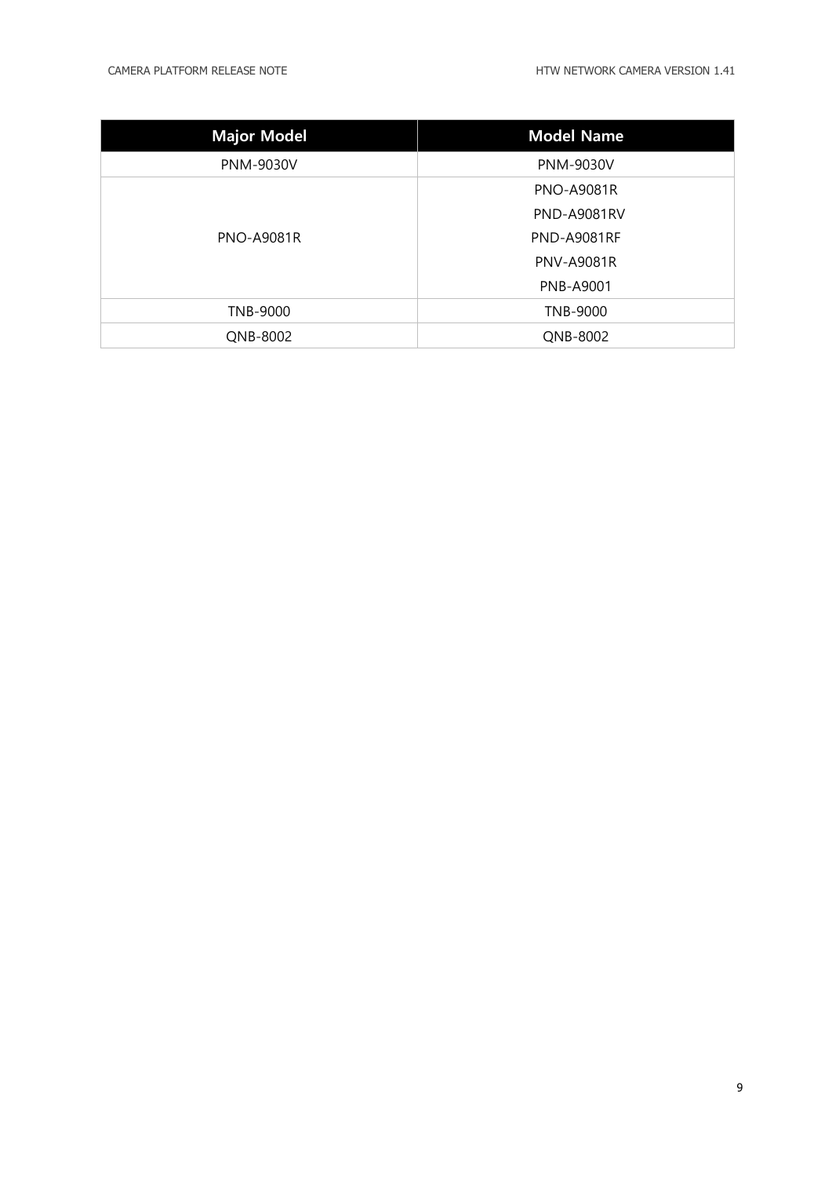| <b>Major Model</b> | <b>Model Name</b>  |
|--------------------|--------------------|
| <b>PNM-9030V</b>   | <b>PNM-9030V</b>   |
| <b>PNO-A9081R</b>  | <b>PNO-A9081R</b>  |
|                    | <b>PND-A9081RV</b> |
|                    | <b>PND-A9081RF</b> |
|                    | <b>PNV-A9081R</b>  |
|                    | <b>PNB-A9001</b>   |
| TNB-9000           | TNB-9000           |
| QNB-8002           | QNB-8002           |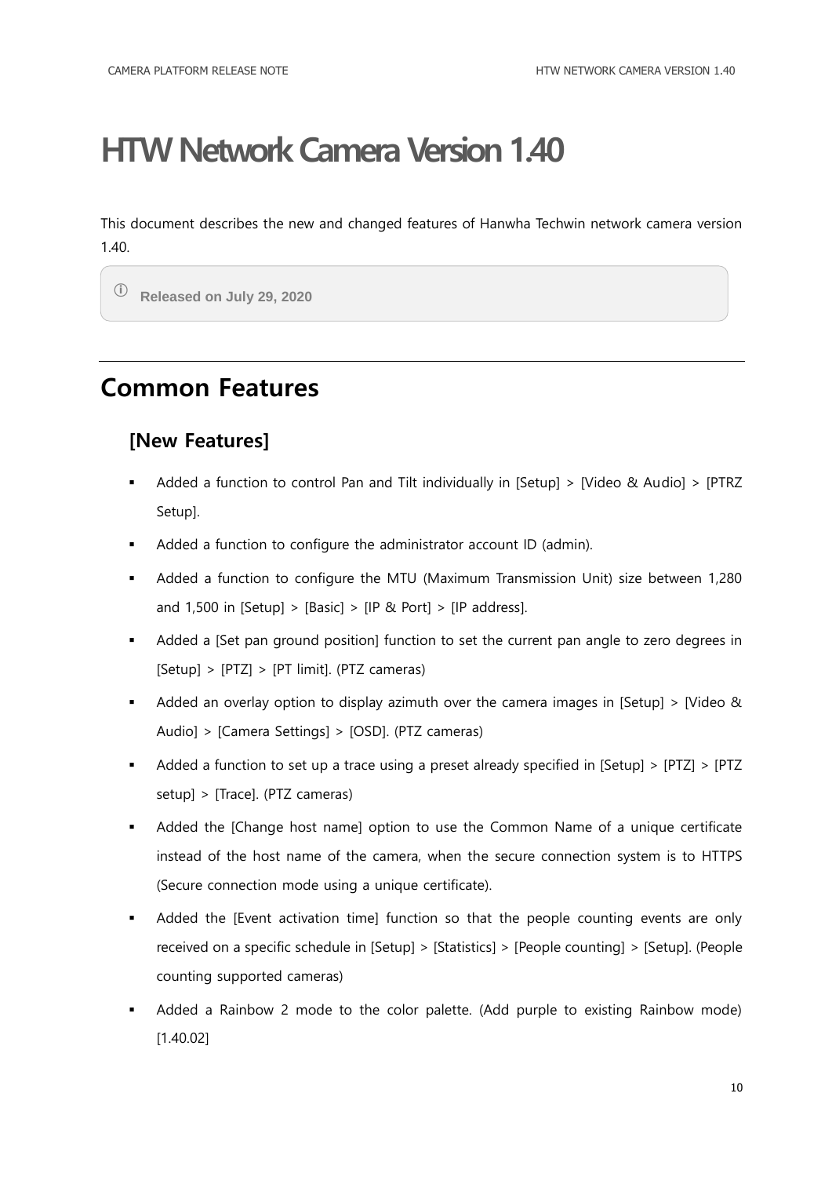<span id="page-9-0"></span>This document describes the new and changed features of Hanwha Techwin network camera version 1.40.

ⓘ **Released on July 29, 2020**

### <span id="page-9-1"></span>**Common Features**

#### **[New Features]**

- Added a function to control Pan and Tilt individually in [Setup] > [Video & Audio] > [PTRZ Setup].
- Added a function to configure the administrator account ID (admin).
- Added a function to configure the MTU (Maximum Transmission Unit) size between 1,280 and 1,500 in [Setup] > [Basic] > [IP & Port] > [IP address].
- Added a [Set pan ground position] function to set the current pan angle to zero degrees in  $[Setup] > [PTZ] > [PT limit]$ . (PTZ cameras)
- Added an overlay option to display azimuth over the camera images in [Setup] > [Video & Audio] > [Camera Settings] > [OSD]. (PTZ cameras)
- Added a function to set up a trace using a preset already specified in [Setup] > [PTZ] > [PTZ setup] > [Trace]. (PTZ cameras)
- Added the [Change host name] option to use the Common Name of a unique certificate instead of the host name of the camera, when the secure connection system is to HTTPS (Secure connection mode using a unique certificate).
- Added the [Event activation time] function so that the people counting events are only received on a specific schedule in [Setup] > [Statistics] > [People counting] > [Setup]. (People counting supported cameras)
- Added a Rainbow 2 mode to the color palette. (Add purple to existing Rainbow mode) [1.40.02]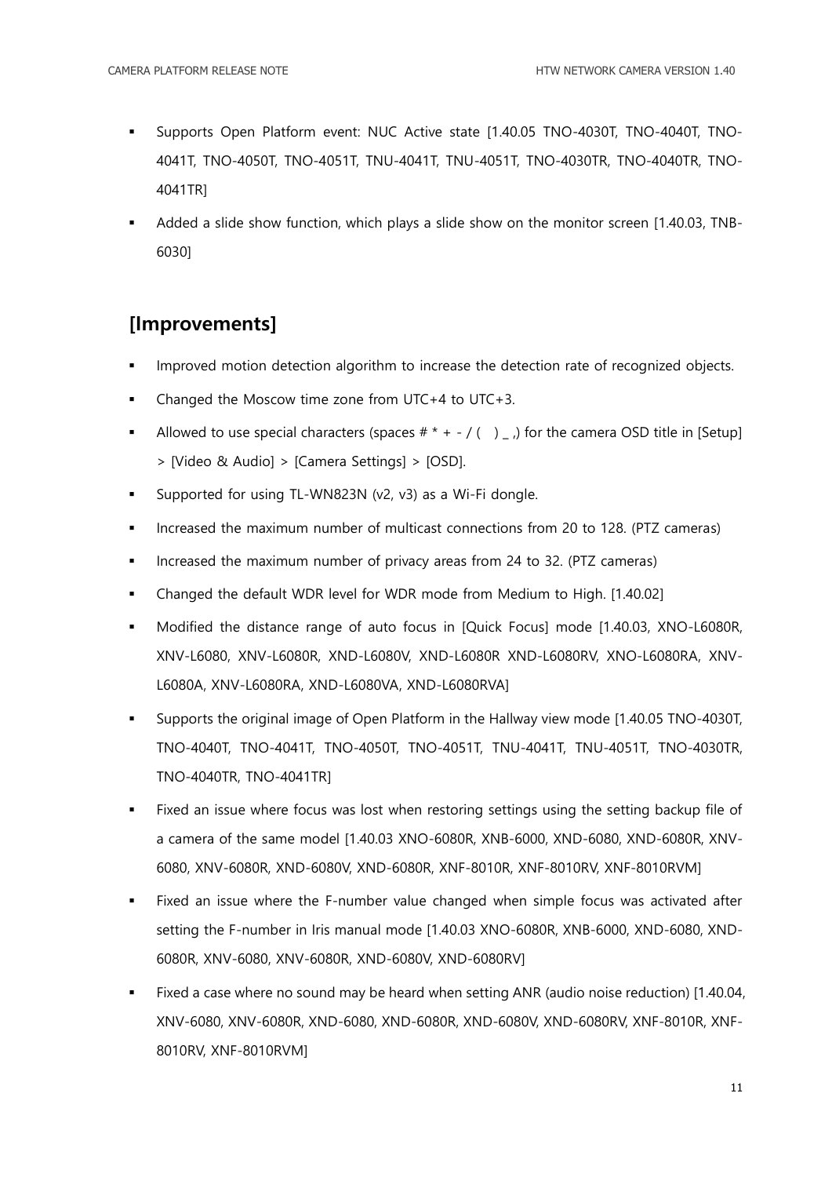- Supports Open Platform event: NUC Active state [1.40.05 TNO-4030T, TNO-4040T, TNO-4041T, TNO-4050T, TNO-4051T, TNU-4041T, TNU-4051T, TNO-4030TR, TNO-4040TR, TNO-4041TR]
- Added a slide show function, which plays a slide show on the monitor screen [1.40.03, TNB-6030]

#### **[Improvements]**

- Improved motion detection algorithm to increase the detection rate of recognized objects.
- Changed the Moscow time zone from UTC+4 to UTC+3.
- Allowed to use special characters (spaces  $# * + / ( )$ ) for the camera OSD title in [Setup] > [Video & Audio] > [Camera Settings] > [OSD].
- Supported for using TL-WN823N (v2, v3) as a Wi-Fi dongle.
- Increased the maximum number of multicast connections from 20 to 128. (PTZ cameras)
- Increased the maximum number of privacy areas from 24 to 32. (PTZ cameras)
- Changed the default WDR level for WDR mode from Medium to High. [1.40.02]
- Modified the distance range of auto focus in [Quick Focus] mode [1.40.03, XNO-L6080R, XNV-L6080, XNV-L6080R, XND-L6080V, XND-L6080R XND-L6080RV, XNO-L6080RA, XNV-L6080A, XNV-L6080RA, XND-L6080VA, XND-L6080RVA]
- Supports the original image of Open Platform in the Hallway view mode [1.40.05 TNO-4030T, TNO-4040T, TNO-4041T, TNO-4050T, TNO-4051T, TNU-4041T, TNU-4051T, TNO-4030TR, TNO-4040TR, TNO-4041TR]
- Fixed an issue where focus was lost when restoring settings using the setting backup file of a camera of the same model [1.40.03 XNO-6080R, XNB-6000, XND-6080, XND-6080R, XNV-6080, XNV-6080R, XND-6080V, XND-6080R, XNF-8010R, XNF-8010RV, XNF-8010RVM]
- Fixed an issue where the F-number value changed when simple focus was activated after setting the F-number in Iris manual mode [1.40.03 XNO-6080R, XNB-6000, XND-6080, XND-6080R, XNV-6080, XNV-6080R, XND-6080V, XND-6080RV]
- Fixed a case where no sound may be heard when setting ANR (audio noise reduction) [1.40.04, XNV-6080, XNV-6080R, XND-6080, XND-6080R, XND-6080V, XND-6080RV, XNF-8010R, XNF-8010RV, XNF-8010RVM]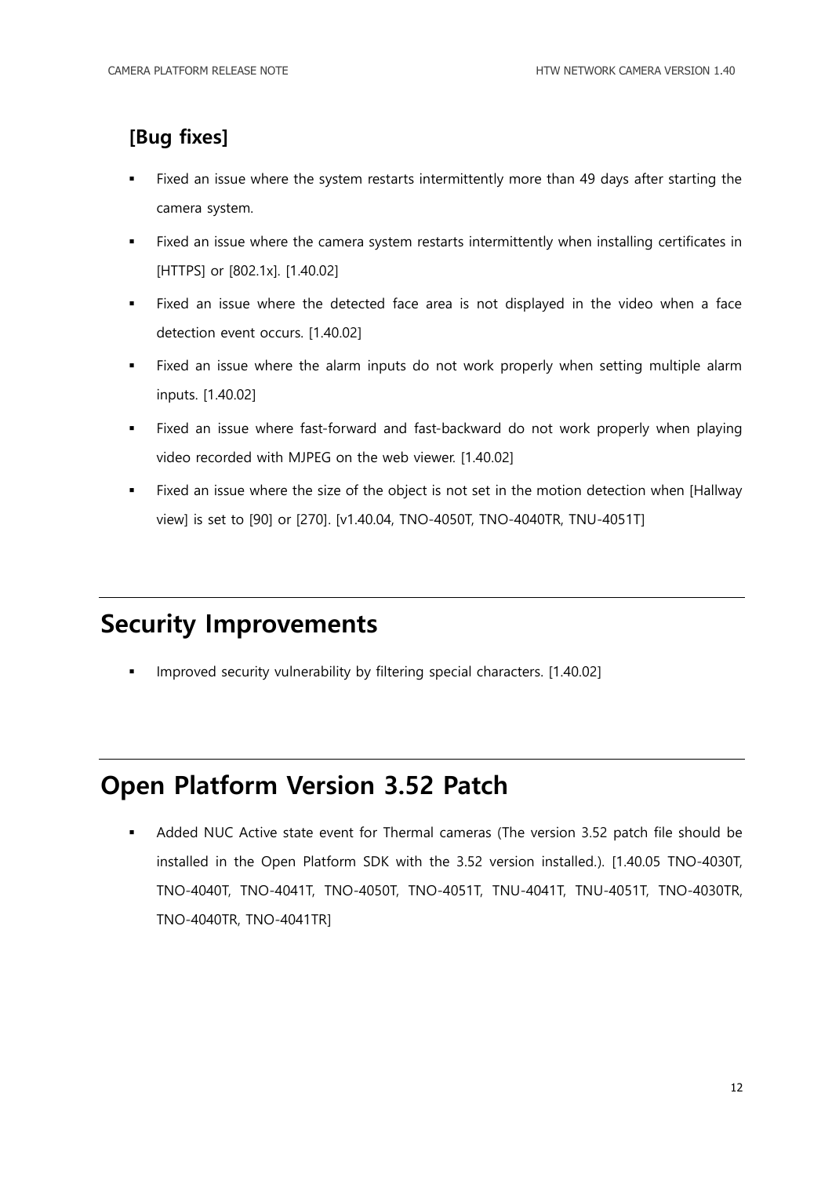#### **[Bug fixes]**

- Fixed an issue where the system restarts intermittently more than 49 days after starting the camera system.
- Fixed an issue where the camera system restarts intermittently when installing certificates in [HTTPS] or [802.1x]. [1.40.02]
- Fixed an issue where the detected face area is not displayed in the video when a face detection event occurs. [1.40.02]
- Fixed an issue where the alarm inputs do not work properly when setting multiple alarm inputs. [1.40.02]
- Fixed an issue where fast-forward and fast-backward do not work properly when playing video recorded with MJPEG on the web viewer. [1.40.02]
- Fixed an issue where the size of the object is not set in the motion detection when [Hallway view] is set to [90] or [270]. [v1.40.04, TNO-4050T, TNO-4040TR, TNU-4051T]

### <span id="page-11-0"></span>**Security Improvements**

Improved security vulnerability by filtering special characters. [1.40.02]

### <span id="page-11-1"></span>**Open Platform Version 3.52 Patch**

 Added NUC Active state event for Thermal cameras (The version 3.52 patch file should be installed in the Open Platform SDK with the 3.52 version installed.). [1.40.05 TNO-4030T, TNO-4040T, TNO-4041T, TNO-4050T, TNO-4051T, TNU-4041T, TNU-4051T, TNO-4030TR, TNO-4040TR, TNO-4041TR]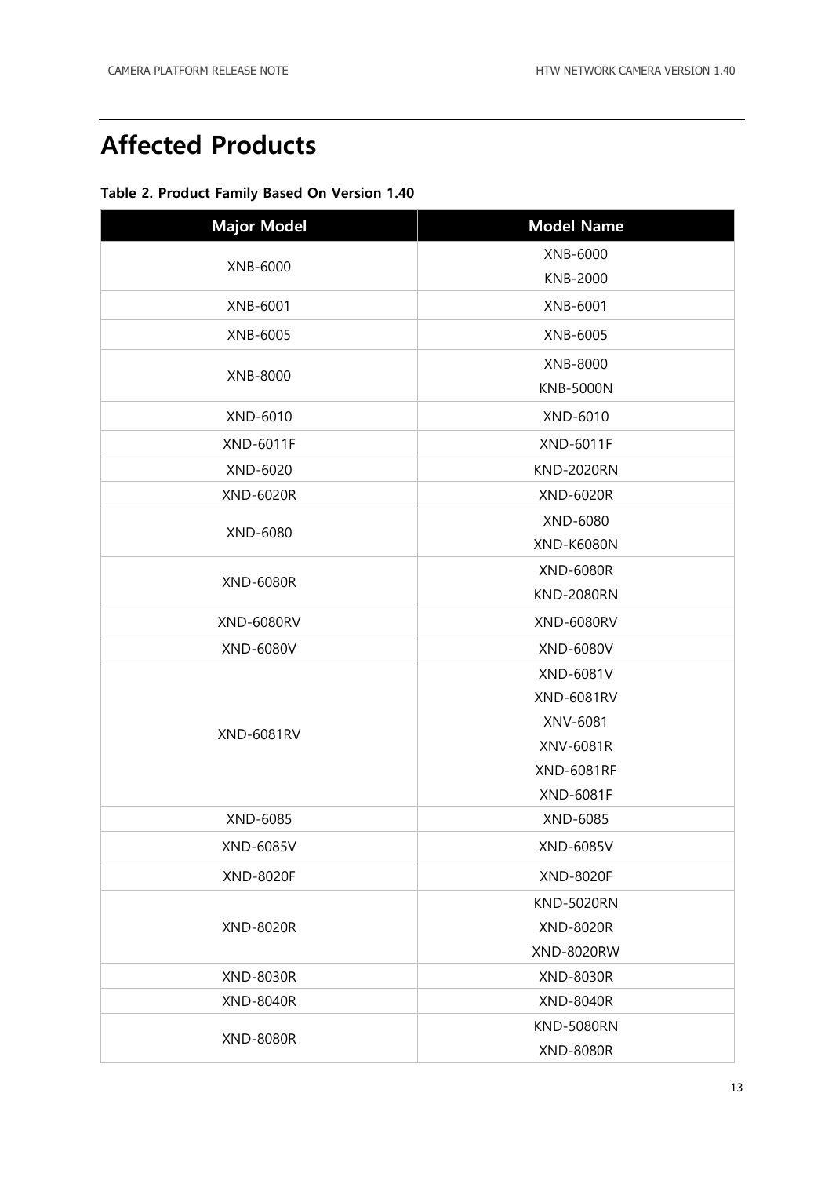### <span id="page-12-0"></span>**Affected Products**

#### **Table 2. Product Family Based On Version 1.40**

| <b>Major Model</b> | <b>Model Name</b> |
|--------------------|-------------------|
| XNB-6000           | XNB-6000          |
|                    | KNB-2000          |
| XNB-6001           | XNB-6001          |
| XNB-6005           | XNB-6005          |
| XNB-8000           | XNB-8000          |
|                    | <b>KNB-5000N</b>  |
| XND-6010           | XND-6010          |
| <b>XND-6011F</b>   | <b>XND-6011F</b>  |
| XND-6020           | <b>KND-2020RN</b> |
| <b>XND-6020R</b>   | XND-6020R         |
| XND-6080           | XND-6080          |
|                    | <b>XND-K6080N</b> |
| <b>XND-6080R</b>   | <b>XND-6080R</b>  |
|                    | <b>KND-2080RN</b> |
| <b>XND-6080RV</b>  | <b>XND-6080RV</b> |
| XND-6080V          | XND-6080V         |
|                    | XND-6081V         |
|                    | <b>XND-6081RV</b> |
| <b>XND-6081RV</b>  | XNV-6081          |
|                    | XNV-6081R         |
|                    | <b>XND-6081RF</b> |
|                    | <b>XND-6081F</b>  |
| XND-6085           | XND-6085          |
| XND-6085V          | XND-6085V         |
| XND-8020F          | XND-8020F         |
| <b>XND-8020R</b>   | <b>KND-5020RN</b> |
|                    | <b>XND-8020R</b>  |
|                    | <b>XND-8020RW</b> |
| <b>XND-8030R</b>   | XND-8030R         |
| <b>XND-8040R</b>   | <b>XND-8040R</b>  |
|                    | <b>KND-5080RN</b> |
| <b>XND-8080R</b>   | <b>XND-8080R</b>  |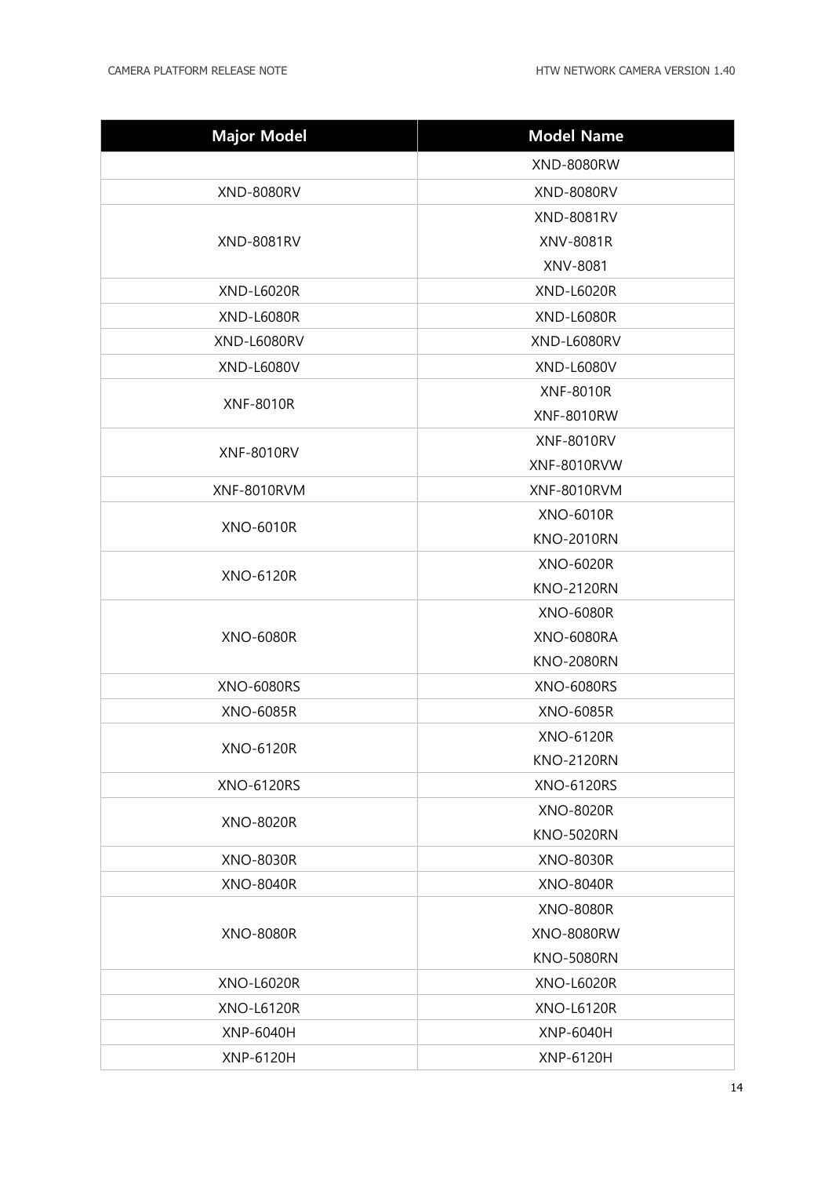| <b>Major Model</b> | <b>Model Name</b> |
|--------------------|-------------------|
|                    | <b>XND-8080RW</b> |
| <b>XND-8080RV</b>  | <b>XND-8080RV</b> |
|                    | <b>XND-8081RV</b> |
| <b>XND-8081RV</b>  | XNV-8081R         |
|                    | XNV-8081          |
| <b>XND-L6020R</b>  | <b>XND-L6020R</b> |
| <b>XND-L6080R</b>  | <b>XND-L6080R</b> |
| XND-L6080RV        | XND-L6080RV       |
| XND-L6080V         | XND-L6080V        |
|                    | <b>XNF-8010R</b>  |
| <b>XNF-8010R</b>   | <b>XNF-8010RW</b> |
|                    | <b>XNF-8010RV</b> |
| <b>XNF-8010RV</b>  | XNF-8010RVW       |
| XNF-8010RVM        | XNF-8010RVM       |
| <b>XNO-6010R</b>   | <b>XNO-6010R</b>  |
|                    | <b>KNO-2010RN</b> |
| <b>XNO-6120R</b>   | <b>XNO-6020R</b>  |
|                    | <b>KNO-2120RN</b> |
|                    | <b>XNO-6080R</b>  |
| <b>XNO-6080R</b>   | <b>XNO-6080RA</b> |
|                    | <b>KNO-2080RN</b> |
| <b>XNO-6080RS</b>  | <b>XNO-6080RS</b> |
| <b>XNO-6085R</b>   | <b>XNO-6085R</b>  |
| <b>XNO-6120R</b>   | <b>XNO-6120R</b>  |
|                    | <b>KNO-2120RN</b> |
| <b>XNO-6120RS</b>  | <b>XNO-6120RS</b> |
| <b>XNO-8020R</b>   | XNO-8020R         |
|                    | <b>KNO-5020RN</b> |
| <b>XNO-8030R</b>   | <b>XNO-8030R</b>  |
| <b>XNO-8040R</b>   | <b>XNO-8040R</b>  |
| <b>XNO-8080R</b>   | <b>XNO-8080R</b>  |
|                    | <b>XNO-8080RW</b> |
|                    | <b>KNO-5080RN</b> |
| <b>XNO-L6020R</b>  | <b>XNO-L6020R</b> |
| <b>XNO-L6120R</b>  | <b>XNO-L6120R</b> |
| <b>XNP-6040H</b>   | <b>XNP-6040H</b>  |
| XNP-6120H          | <b>XNP-6120H</b>  |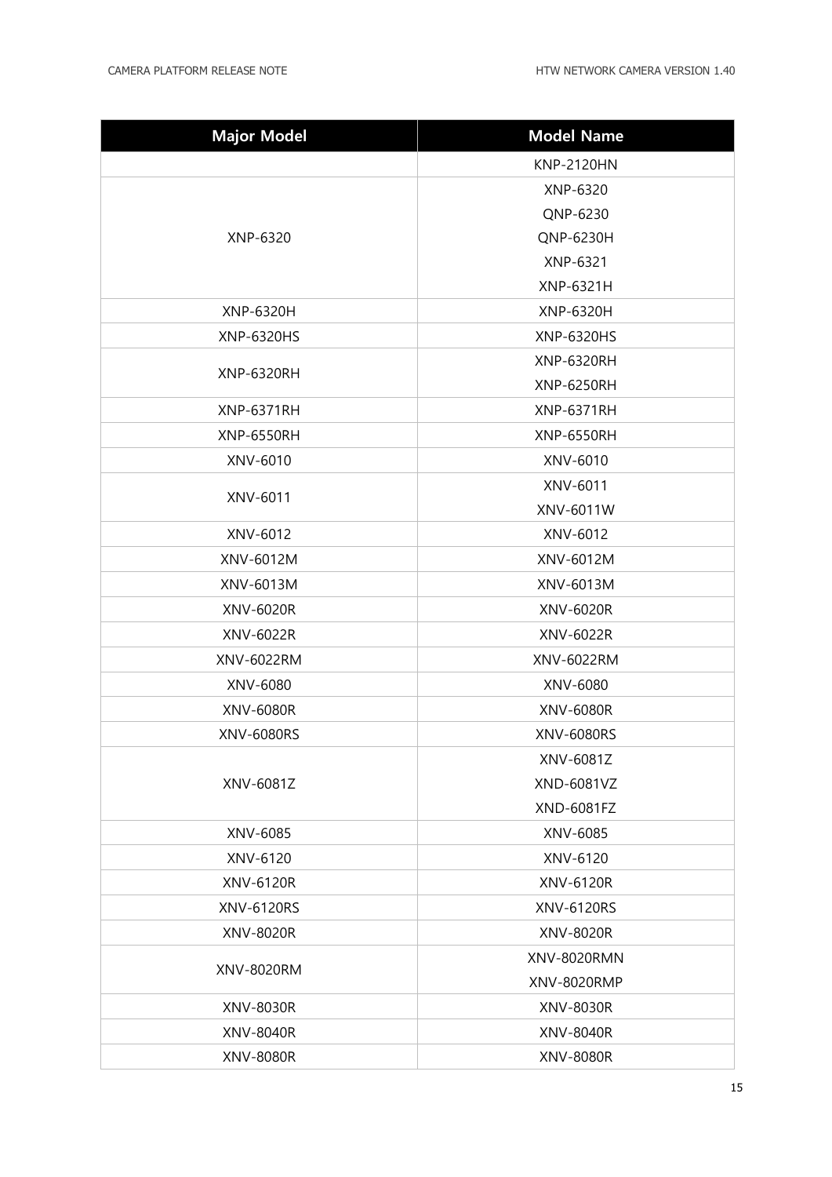| <b>Major Model</b> | <b>Model Name</b>  |
|--------------------|--------------------|
|                    | <b>KNP-2120HN</b>  |
| XNP-6320           | XNP-6320           |
|                    | QNP-6230           |
|                    | QNP-6230H          |
|                    | XNP-6321           |
|                    | XNP-6321H          |
| XNP-6320H          | XNP-6320H          |
| XNP-6320HS         | XNP-6320HS         |
| <b>XNP-6320RH</b>  | <b>XNP-6320RH</b>  |
|                    | <b>XNP-6250RH</b>  |
| <b>XNP-6371RH</b>  | <b>XNP-6371RH</b>  |
| <b>XNP-6550RH</b>  | <b>XNP-6550RH</b>  |
| XNV-6010           | XNV-6010           |
| XNV-6011           | XNV-6011           |
|                    | XNV-6011W          |
| XNV-6012           | XNV-6012           |
| XNV-6012M          | XNV-6012M          |
| XNV-6013M          | XNV-6013M          |
| XNV-6020R          | XNV-6020R          |
| XNV-6022R          | XNV-6022R          |
| XNV-6022RM         | XNV-6022RM         |
| XNV-6080           | XNV-6080           |
| XNV-6080R          | <b>XNV-6080R</b>   |
| <b>XNV-6080RS</b>  | XNV-6080RS         |
|                    | XNV-6081Z          |
| XNV-6081Z          | XND-6081VZ         |
|                    | XND-6081FZ         |
| XNV-6085           | XNV-6085           |
| XNV-6120           | XNV-6120           |
| XNV-6120R          | XNV-6120R          |
| XNV-6120RS         | XNV-6120RS         |
| XNV-8020R          | XNV-8020R          |
| XNV-8020RM         | <b>XNV-8020RMN</b> |
|                    | XNV-8020RMP        |
| XNV-8030R          | XNV-8030R          |
| XNV-8040R          | <b>XNV-8040R</b>   |
| XNV-8080R          | <b>XNV-8080R</b>   |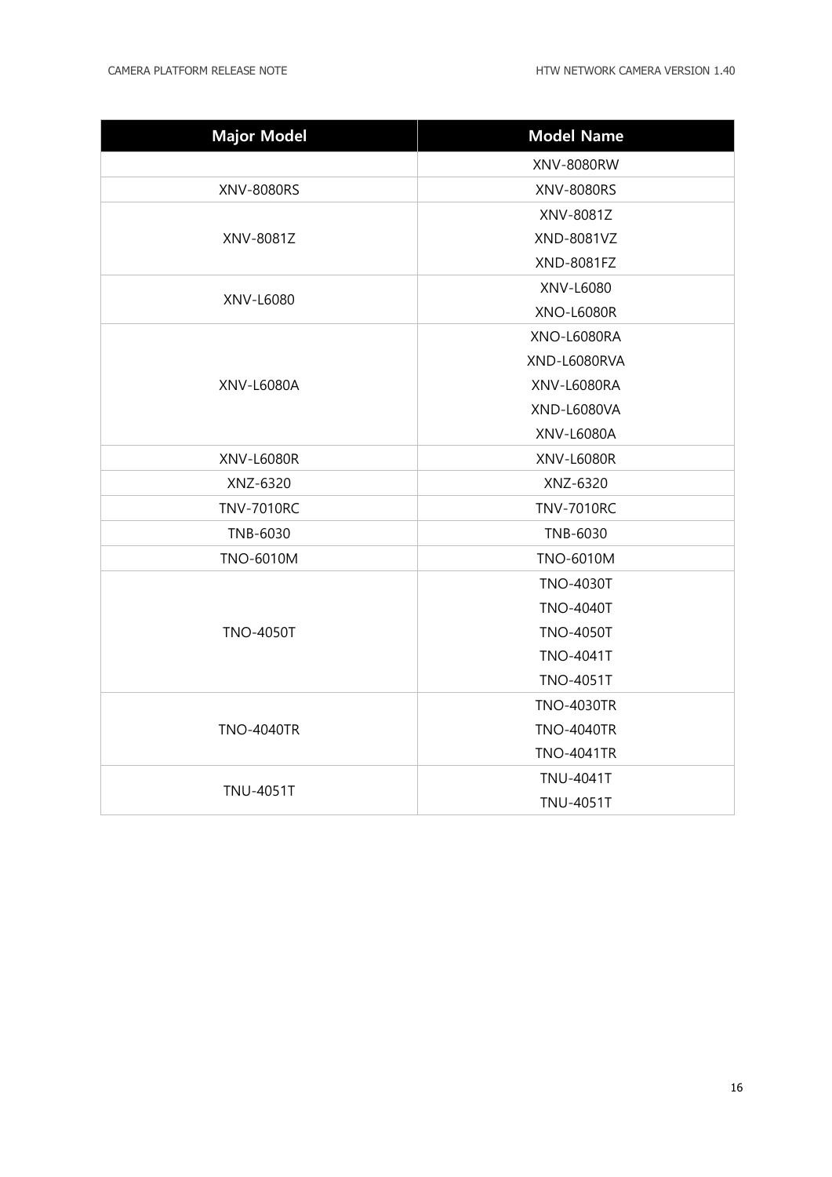| <b>Major Model</b> | <b>Model Name</b> |
|--------------------|-------------------|
|                    | XNV-8080RW        |
| <b>XNV-8080RS</b>  | <b>XNV-8080RS</b> |
|                    | XNV-8081Z         |
| XNV-8081Z          | XND-8081VZ        |
|                    | <b>XND-8081FZ</b> |
|                    | XNV-L6080         |
| XNV-L6080          | <b>XNO-L6080R</b> |
|                    | XNO-L6080RA       |
|                    | XND-L6080RVA      |
| XNV-L6080A         | XNV-L6080RA       |
|                    | XND-L6080VA       |
|                    | XNV-L6080A        |
| <b>XNV-L6080R</b>  | <b>XNV-L6080R</b> |
| XNZ-6320           | XNZ-6320          |
| <b>TNV-7010RC</b>  | <b>TNV-7010RC</b> |
| TNB-6030           | TNB-6030          |
| <b>TNO-6010M</b>   | <b>TNO-6010M</b>  |
|                    | <b>TNO-4030T</b>  |
|                    | <b>TNO-4040T</b>  |
| <b>TNO-4050T</b>   | <b>TNO-4050T</b>  |
|                    | <b>TNO-4041T</b>  |
|                    | <b>TNO-4051T</b>  |
| <b>TNO-4040TR</b>  | <b>TNO-4030TR</b> |
|                    | <b>TNO-4040TR</b> |
|                    | <b>TNO-4041TR</b> |
|                    | <b>TNU-4041T</b>  |
| <b>TNU-4051T</b>   | <b>TNU-4051T</b>  |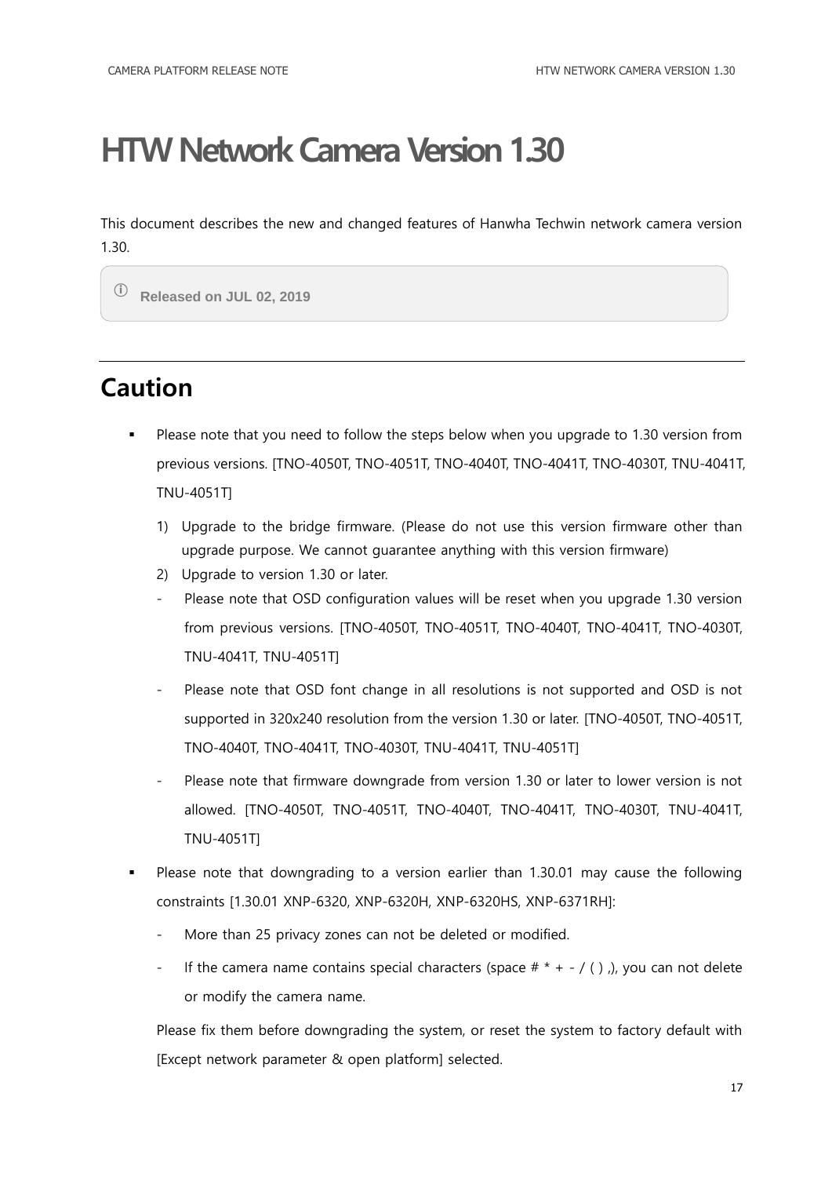<span id="page-16-0"></span>This document describes the new and changed features of Hanwha Techwin network camera version 1.30.

ⓘ **Released on JUL 02, 2019**

### <span id="page-16-1"></span>**Caution**

- Please note that you need to follow the steps below when you upgrade to 1.30 version from previous versions. [TNO-4050T, TNO-4051T, TNO-4040T, TNO-4041T, TNO-4030T, TNU-4041T, TNU-4051T]
	- 1) Upgrade to the bridge firmware. (Please do not use this version firmware other than upgrade purpose. We cannot guarantee anything with this version firmware)
	- 2) Upgrade to version 1.30 or later.
	- Please note that OSD configuration values will be reset when you upgrade 1.30 version from previous versions. [TNO-4050T, TNO-4051T, TNO-4040T, TNO-4041T, TNO-4030T, TNU-4041T, TNU-4051T]
	- Please note that OSD font change in all resolutions is not supported and OSD is not supported in 320x240 resolution from the version 1.30 or later. [TNO-4050T, TNO-4051T, TNO-4040T, TNO-4041T, TNO-4030T, TNU-4041T, TNU-4051T]
	- Please note that firmware downgrade from version 1.30 or later to lower version is not allowed. [TNO-4050T, TNO-4051T, TNO-4040T, TNO-4041T, TNO-4030T, TNU-4041T, TNU-4051T]
- Please note that downgrading to a version earlier than 1.30.01 may cause the following constraints [1.30.01 XNP-6320, XNP-6320H, XNP-6320HS, XNP-6371RH]:
	- More than 25 privacy zones can not be deleted or modified.
	- If the camera name contains special characters (space  $# * + / ()$ ), you can not delete or modify the camera name.

Please fix them before downgrading the system, or reset the system to factory default with [Except network parameter & open platform] selected.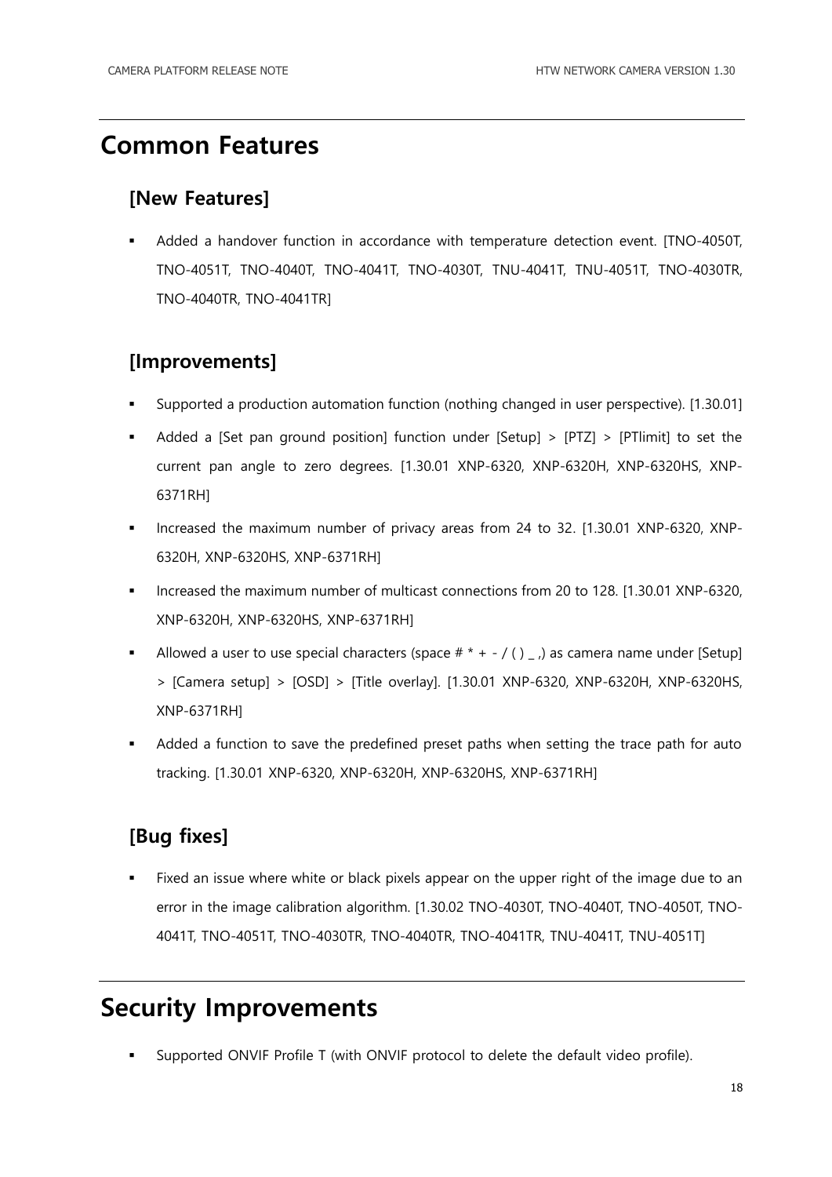#### <span id="page-17-0"></span>**Common Features**

#### **[New Features]**

 Added a handover function in accordance with temperature detection event. [TNO-4050T, TNO-4051T, TNO-4040T, TNO-4041T, TNO-4030T, TNU-4041T, TNU-4051T, TNO-4030TR, TNO-4040TR, TNO-4041TR]

#### **[Improvements]**

- Supported a production automation function (nothing changed in user perspective). [1.30.01]
- Added a [Set pan ground position] function under [Setup] > [PTZ] > [PTlimit] to set the current pan angle to zero degrees. [1.30.01 XNP-6320, XNP-6320H, XNP-6320HS, XNP-6371RH]
- Increased the maximum number of privacy areas from 24 to 32. [1.30.01 XNP-6320, XNP-6320H, XNP-6320HS, XNP-6371RH]
- Increased the maximum number of multicast connections from 20 to 128, [1.30.01 XNP-6320, XNP-6320H, XNP-6320HS, XNP-6371RH]
- Allowed a user to use special characters (space  $# * / ()_n$ ) as camera name under [Setup] > [Camera setup] > [OSD] > [Title overlay]. [1.30.01 XNP-6320, XNP-6320H, XNP-6320HS, XNP-6371RH]
- Added a function to save the predefined preset paths when setting the trace path for auto tracking. [1.30.01 XNP-6320, XNP-6320H, XNP-6320HS, XNP-6371RH]

#### **[Bug fixes]**

 Fixed an issue where white or black pixels appear on the upper right of the image due to an error in the image calibration algorithm. [1.30.02 TNO-4030T, TNO-4040T, TNO-4050T, TNO-4041T, TNO-4051T, TNO-4030TR, TNO-4040TR, TNO-4041TR, TNU-4041T, TNU-4051T]

### <span id="page-17-1"></span>**Security Improvements**

Supported ONVIF Profile T (with ONVIF protocol to delete the default video profile).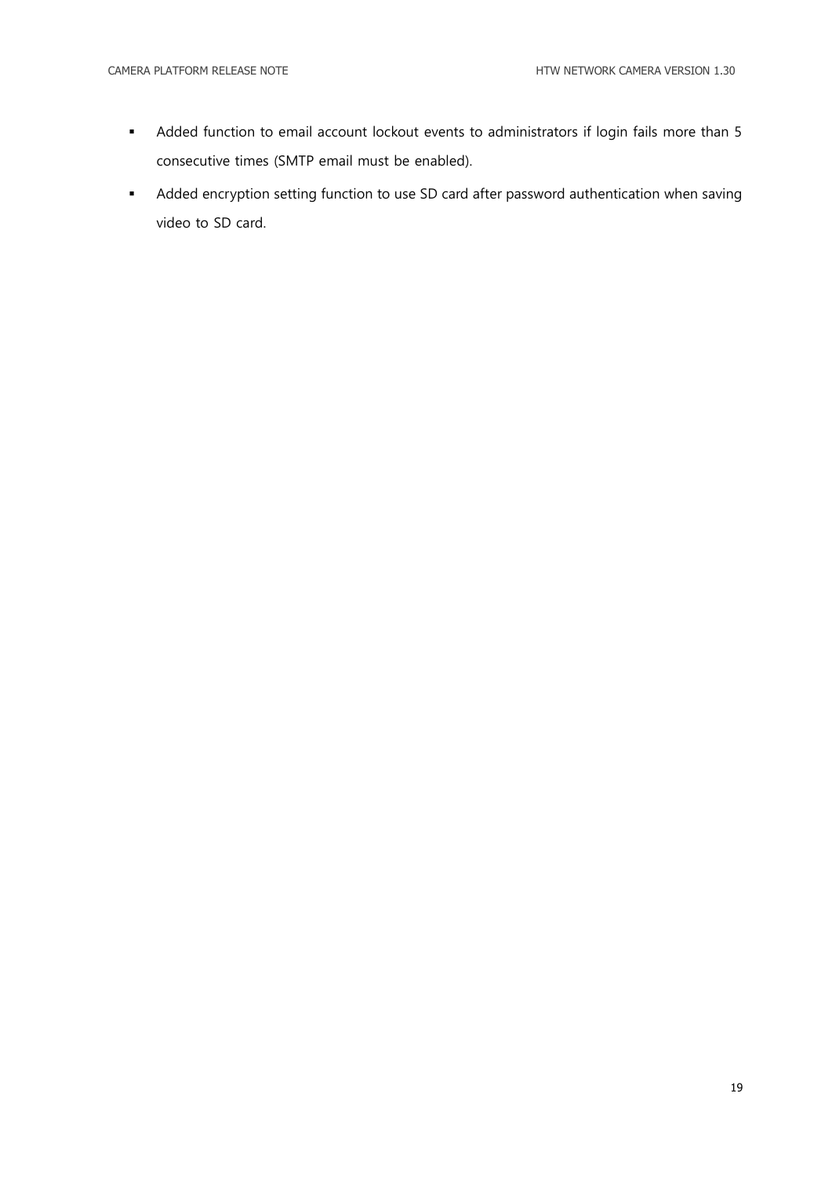- Added function to email account lockout events to administrators if login fails more than 5 consecutive times (SMTP email must be enabled).
- Added encryption setting function to use SD card after password authentication when saving video to SD card.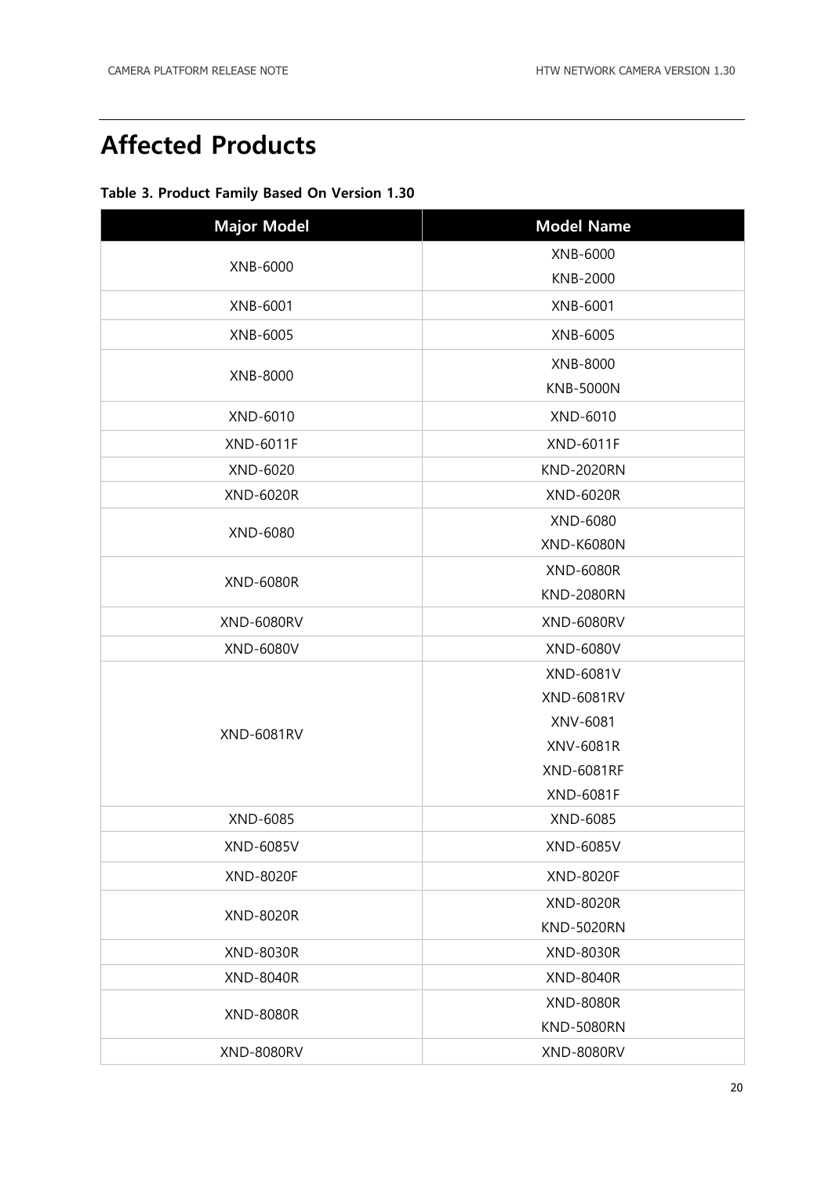### <span id="page-19-0"></span>**Affected Products**

#### **Table 3. Product Family Based On Version 1.30**

| <b>Major Model</b> | <b>Model Name</b> |
|--------------------|-------------------|
| XNB-6000           | XNB-6000          |
|                    | <b>KNB-2000</b>   |
| XNB-6001           | XNB-6001          |
| XNB-6005           | XNB-6005          |
|                    | XNB-8000          |
| XNB-8000           | <b>KNB-5000N</b>  |
| XND-6010           | XND-6010          |
| <b>XND-6011F</b>   | <b>XND-6011F</b>  |
| XND-6020           | <b>KND-2020RN</b> |
| XND-6020R          | <b>XND-6020R</b>  |
| XND-6080           | XND-6080          |
|                    | <b>XND-K6080N</b> |
| <b>XND-6080R</b>   | <b>XND-6080R</b>  |
|                    | <b>KND-2080RN</b> |
| <b>XND-6080RV</b>  | <b>XND-6080RV</b> |
| XND-6080V          | XND-6080V         |
|                    | XND-6081V         |
|                    | <b>XND-6081RV</b> |
| <b>XND-6081RV</b>  | XNV-6081          |
|                    | XNV-6081R         |
|                    | <b>XND-6081RF</b> |
|                    | <b>XND-6081F</b>  |
| XND-6085           | XND-6085          |
| XND-6085V          | XND-6085V         |
| <b>XND-8020F</b>   | <b>XND-8020F</b>  |
| <b>XND-8020R</b>   | <b>XND-8020R</b>  |
|                    | <b>KND-5020RN</b> |
| XND-8030R          | <b>XND-8030R</b>  |
| <b>XND-8040R</b>   | <b>XND-8040R</b>  |
| <b>XND-8080R</b>   | <b>XND-8080R</b>  |
|                    | <b>KND-5080RN</b> |
| <b>XND-8080RV</b>  | <b>XND-8080RV</b> |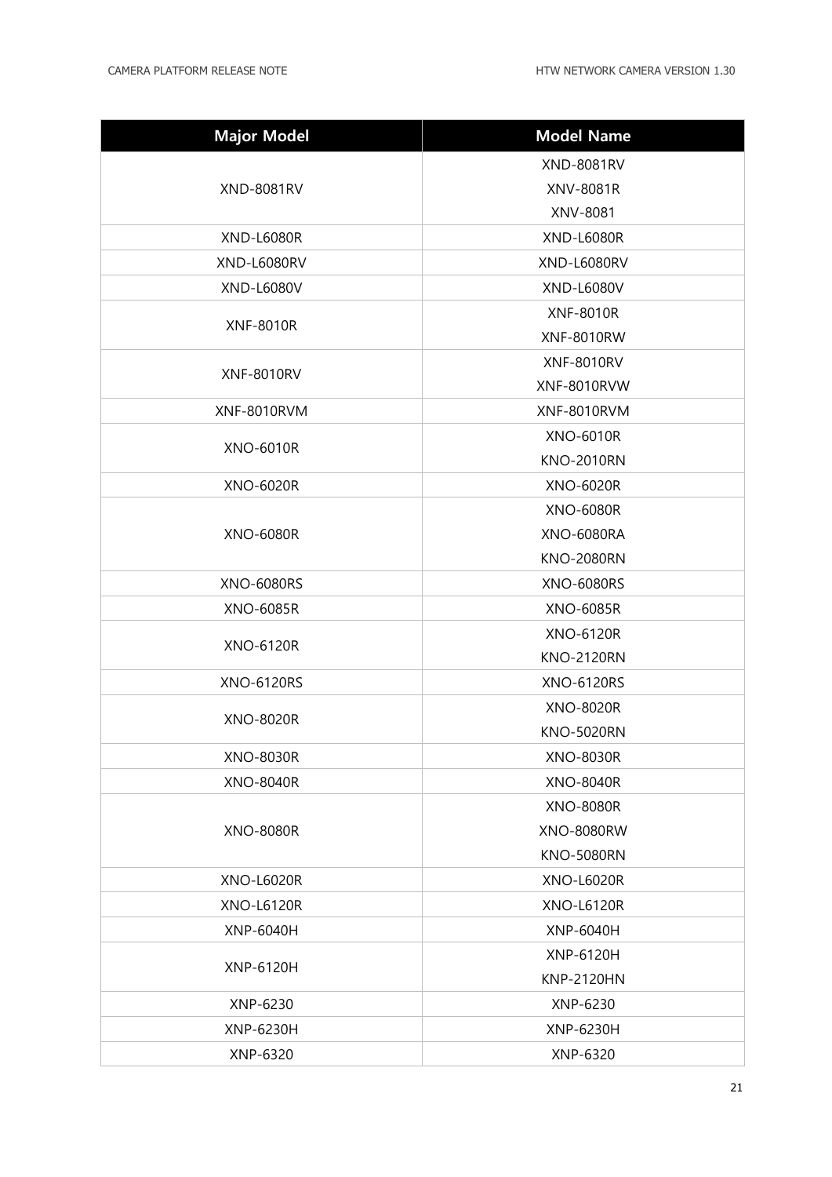| <b>Major Model</b> | <b>Model Name</b> |
|--------------------|-------------------|
| <b>XND-8081RV</b>  | <b>XND-8081RV</b> |
|                    | XNV-8081R         |
|                    | XNV-8081          |
| <b>XND-L6080R</b>  | <b>XND-L6080R</b> |
| <b>XND-L6080RV</b> | XND-L6080RV       |
| <b>XND-L6080V</b>  | <b>XND-L6080V</b> |
| <b>XNF-8010R</b>   | <b>XNF-8010R</b>  |
|                    | <b>XNF-8010RW</b> |
| <b>XNF-8010RV</b>  | <b>XNF-8010RV</b> |
|                    | XNF-8010RVW       |
| XNF-8010RVM        | XNF-8010RVM       |
| <b>XNO-6010R</b>   | <b>XNO-6010R</b>  |
|                    | <b>KNO-2010RN</b> |
| <b>XNO-6020R</b>   | <b>XNO-6020R</b>  |
|                    | <b>XNO-6080R</b>  |
| <b>XNO-6080R</b>   | <b>XNO-6080RA</b> |
|                    | <b>KNO-2080RN</b> |
| <b>XNO-6080RS</b>  | <b>XNO-6080RS</b> |
| <b>XNO-6085R</b>   | <b>XNO-6085R</b>  |
| <b>XNO-6120R</b>   | <b>XNO-6120R</b>  |
|                    | <b>KNO-2120RN</b> |
| <b>XNO-6120RS</b>  | <b>XNO-6120RS</b> |
| <b>XNO-8020R</b>   | XNO-8020R         |
|                    | <b>KNO-5020RN</b> |
| <b>XNO-8030R</b>   | <b>XNO-8030R</b>  |
| <b>XNO-8040R</b>   | <b>XNO-8040R</b>  |
|                    | <b>XNO-8080R</b>  |
| <b>XNO-8080R</b>   | <b>XNO-8080RW</b> |
|                    | <b>KNO-5080RN</b> |
| <b>XNO-L6020R</b>  | <b>XNO-L6020R</b> |
| <b>XNO-L6120R</b>  | <b>XNO-L6120R</b> |
| XNP-6040H          | XNP-6040H         |
| XNP-6120H          | XNP-6120H         |
|                    | <b>KNP-2120HN</b> |
| XNP-6230           | XNP-6230          |
| <b>XNP-6230H</b>   | XNP-6230H         |
| XNP-6320           | XNP-6320          |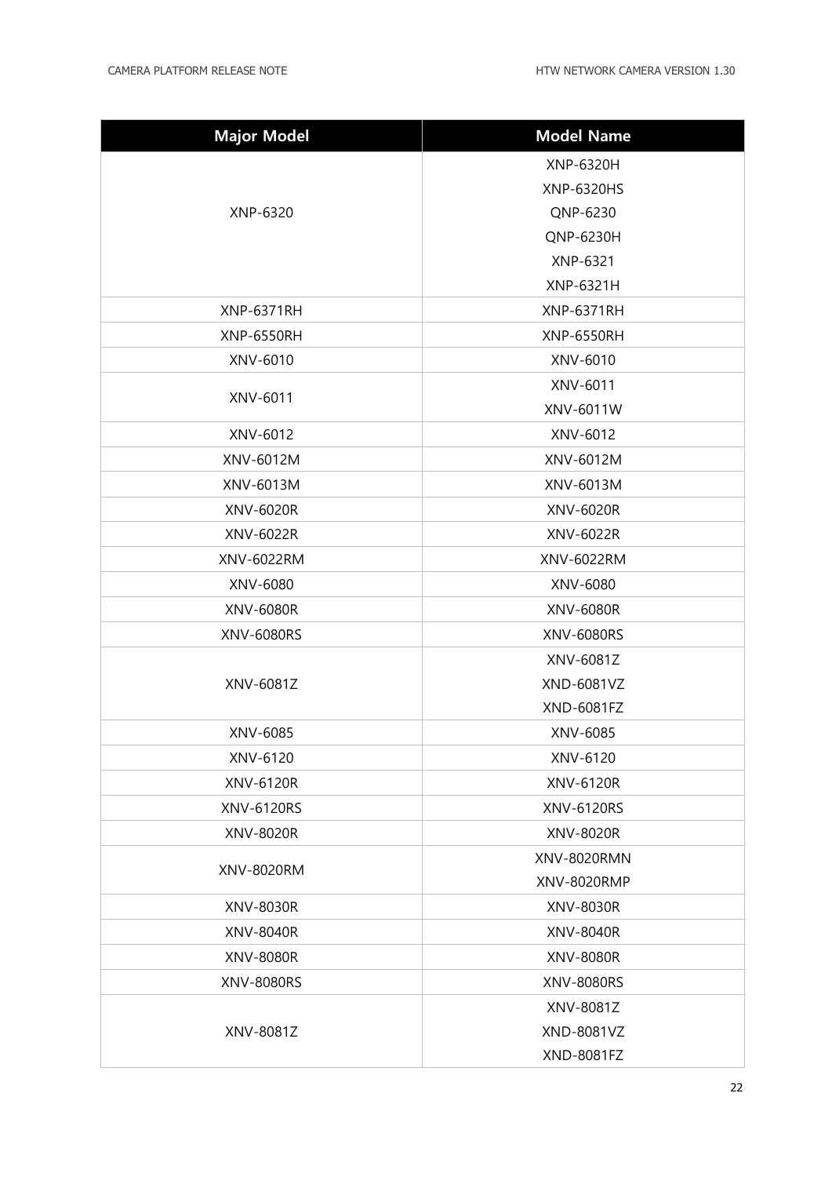| <b>Major Model</b> | <b>Model Name</b> |
|--------------------|-------------------|
| XNP-6320           | XNP-6320H         |
|                    | XNP-6320HS        |
|                    | QNP-6230          |
|                    | QNP-6230H         |
|                    | XNP-6321          |
|                    | XNP-6321H         |
| <b>XNP-6371RH</b>  | <b>XNP-6371RH</b> |
| <b>XNP-6550RH</b>  | <b>XNP-6550RH</b> |
| XNV-6010           | XNV-6010          |
| XNV-6011           | XNV-6011          |
|                    | XNV-6011W         |
| XNV-6012           | XNV-6012          |
| XNV-6012M          | XNV-6012M         |
| XNV-6013M          | XNV-6013M         |
| XNV-6020R          | XNV-6020R         |
| XNV-6022R          | XNV-6022R         |
| XNV-6022RM         | XNV-6022RM        |
| XNV-6080           | XNV-6080          |
| XNV-6080R          | XNV-6080R         |
| <b>XNV-6080RS</b>  | <b>XNV-6080RS</b> |
|                    | XNV-6081Z         |
| XNV-6081Z          | XND-6081VZ        |
|                    | XND-6081FZ        |
| XNV-6085           | XNV-6085          |
| XNV-6120           | XNV-6120          |
| XNV-6120R          | XNV-6120R         |
| XNV-6120RS         | XNV-6120RS        |
| XNV-8020R          | XNV-8020R         |
| XNV-8020RM         | XNV-8020RMN       |
|                    | XNV-8020RMP       |
| XNV-8030R          | XNV-8030R         |
| XNV-8040R          | XNV-8040R         |
| XNV-8080R          | <b>XNV-8080R</b>  |
| <b>XNV-8080RS</b>  | <b>XNV-8080RS</b> |
| XNV-8081Z          | XNV-8081Z         |
|                    | XND-8081VZ        |
|                    | XND-8081FZ        |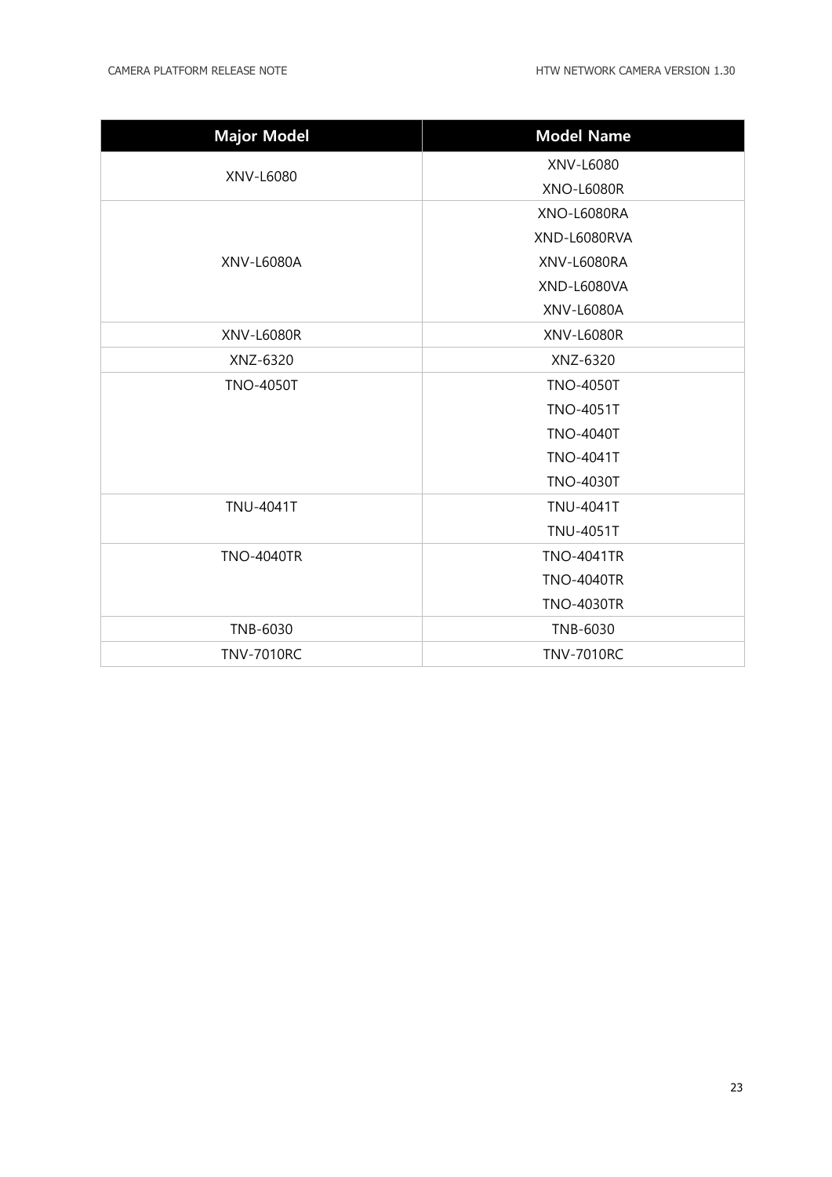| <b>Major Model</b> | <b>Model Name</b> |
|--------------------|-------------------|
|                    | XNV-L6080         |
| XNV-L6080          | <b>XNO-L6080R</b> |
|                    | XNO-L6080RA       |
|                    | XND-L6080RVA      |
| XNV-L6080A         | XNV-L6080RA       |
|                    | XND-L6080VA       |
|                    | XNV-L6080A        |
| <b>XNV-L6080R</b>  | <b>XNV-L6080R</b> |
| XNZ-6320           | XNZ-6320          |
| <b>TNO-4050T</b>   | <b>TNO-4050T</b>  |
|                    | <b>TNO-4051T</b>  |
|                    | <b>TNO-4040T</b>  |
|                    | <b>TNO-4041T</b>  |
|                    | <b>TNO-4030T</b>  |
| <b>TNU-4041T</b>   | <b>TNU-4041T</b>  |
|                    | <b>TNU-4051T</b>  |
| <b>TNO-4040TR</b>  | <b>TNO-4041TR</b> |
|                    | <b>TNO-4040TR</b> |
|                    | <b>TNO-4030TR</b> |
| TNB-6030           | TNB-6030          |
| <b>TNV-7010RC</b>  | <b>TNV-7010RC</b> |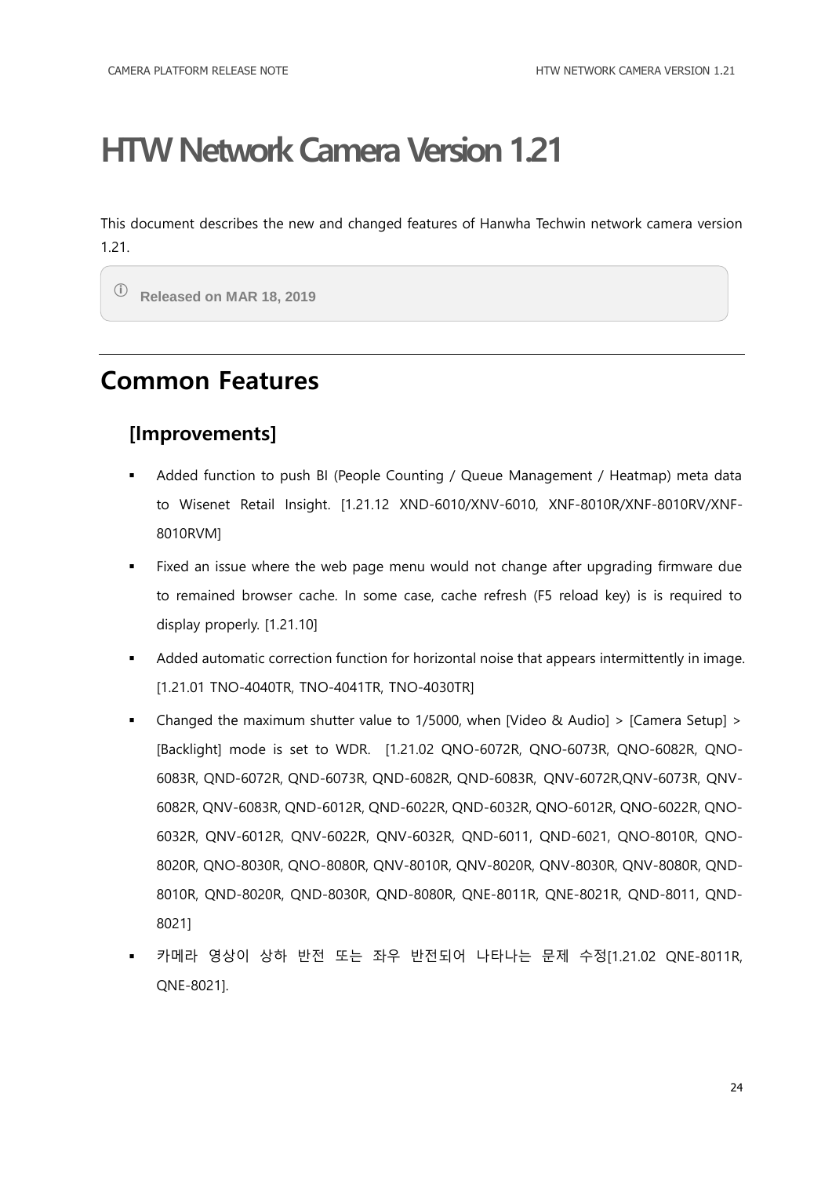<span id="page-23-0"></span>This document describes the new and changed features of Hanwha Techwin network camera version 1.21.

ⓘ **Released on MAR 18, 2019**

#### <span id="page-23-1"></span>**Common Features**

#### **[Improvements]**

- Added function to push BI (People Counting / Queue Management / Heatmap) meta data to Wisenet Retail Insight. [1.21.12 XND-6010/XNV-6010, XNF-8010R/XNF-8010RV/XNF-8010RVM]
- Fixed an issue where the web page menu would not change after upgrading firmware due to remained browser cache. In some case, cache refresh (F5 reload key) is is required to display properly. [1.21.10]
- Added automatic correction function for horizontal noise that appears intermittently in image. [1.21.01 TNO-4040TR, TNO-4041TR, TNO-4030TR]
- Changed the maximum shutter value to 1/5000, when [Video & Audio] > [Camera Setup] > [Backlight] mode is set to WDR. [1.21.02 QNO-6072R, QNO-6073R, QNO-6082R, QNO-6083R, QND-6072R, QND-6073R, QND-6082R, QND-6083R, QNV-6072R,QNV-6073R, QNV-6082R, QNV-6083R, QND-6012R, QND-6022R, QND-6032R, QNO-6012R, QNO-6022R, QNO-6032R, QNV-6012R, QNV-6022R, QNV-6032R, QND-6011, QND-6021, QNO-8010R, QNO-8020R, QNO-8030R, QNO-8080R, QNV-8010R, QNV-8020R, QNV-8030R, QNV-8080R, QND-8010R, QND-8020R, QND-8030R, QND-8080R, QNE-8011R, QNE-8021R, QND-8011, QND-8021]
- 카메라 영상이 상하 반전 또는 좌우 반전되어 나타나는 문제 수정[1.21.02 QNE-8011R, QNE-8021].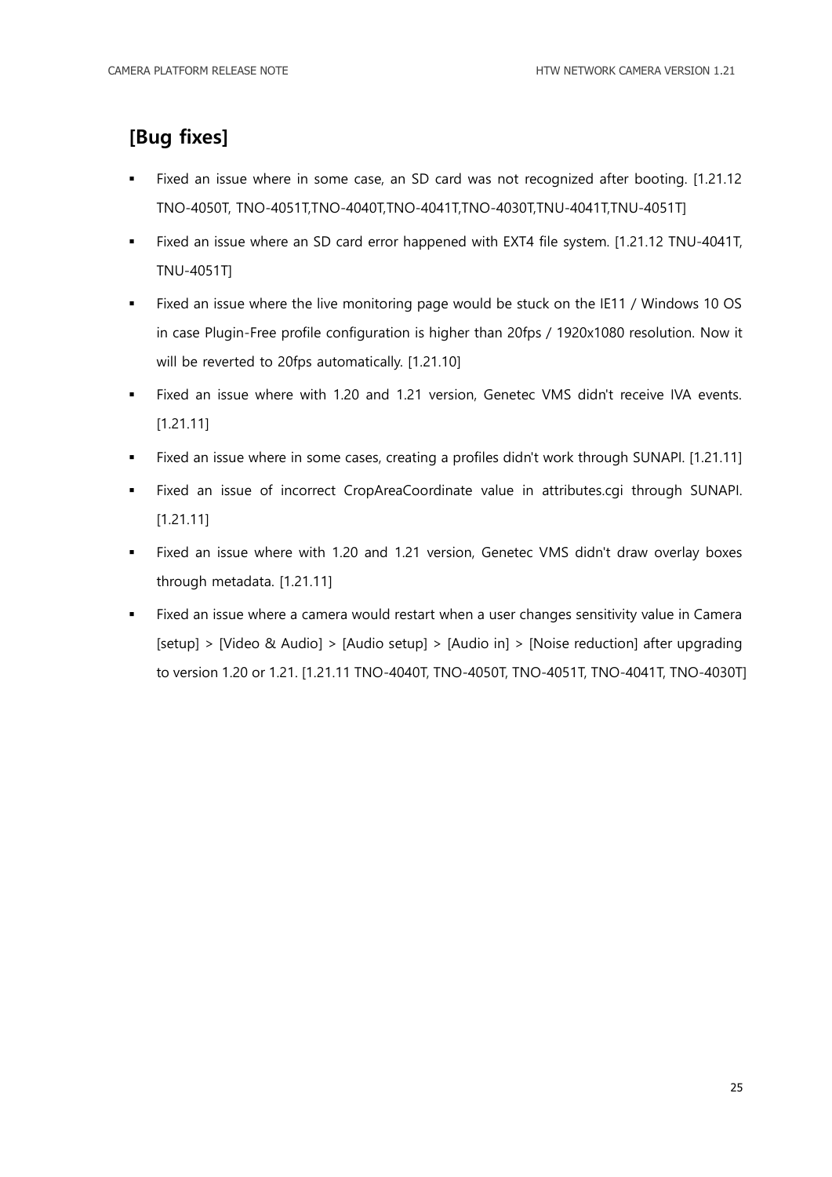#### **[Bug fixes]**

- Fixed an issue where in some case, an SD card was not recognized after booting. [1.21.12 TNO-4050T, TNO-4051T,TNO-4040T,TNO-4041T,TNO-4030T,TNU-4041T,TNU-4051T]
- Fixed an issue where an SD card error happened with EXT4 file system. [1.21.12 TNU-4041T, TNU-4051T]
- Fixed an issue where the live monitoring page would be stuck on the IE11 / Windows 10 OS in case Plugin-Free profile configuration is higher than 20fps / 1920x1080 resolution. Now it will be reverted to 20fps automatically. [1.21.10]
- Fixed an issue where with 1.20 and 1.21 version, Genetec VMS didn't receive IVA events. [1.21.11]
- Fixed an issue where in some cases, creating a profiles didn't work through SUNAPI. [1.21.11]
- Fixed an issue of incorrect CropAreaCoordinate value in attributes.cgi through SUNAPI. [1.21.11]
- Fixed an issue where with 1.20 and 1.21 version, Genetec VMS didn't draw overlay boxes through metadata. [1.21.11]
- Fixed an issue where a camera would restart when a user changes sensitivity value in Camera [setup] > [Video & Audio] > [Audio setup] > [Audio in] > [Noise reduction] after upgrading to version 1.20 or 1.21. [1.21.11 TNO-4040T, TNO-4050T, TNO-4051T, TNO-4041T, TNO-4030T]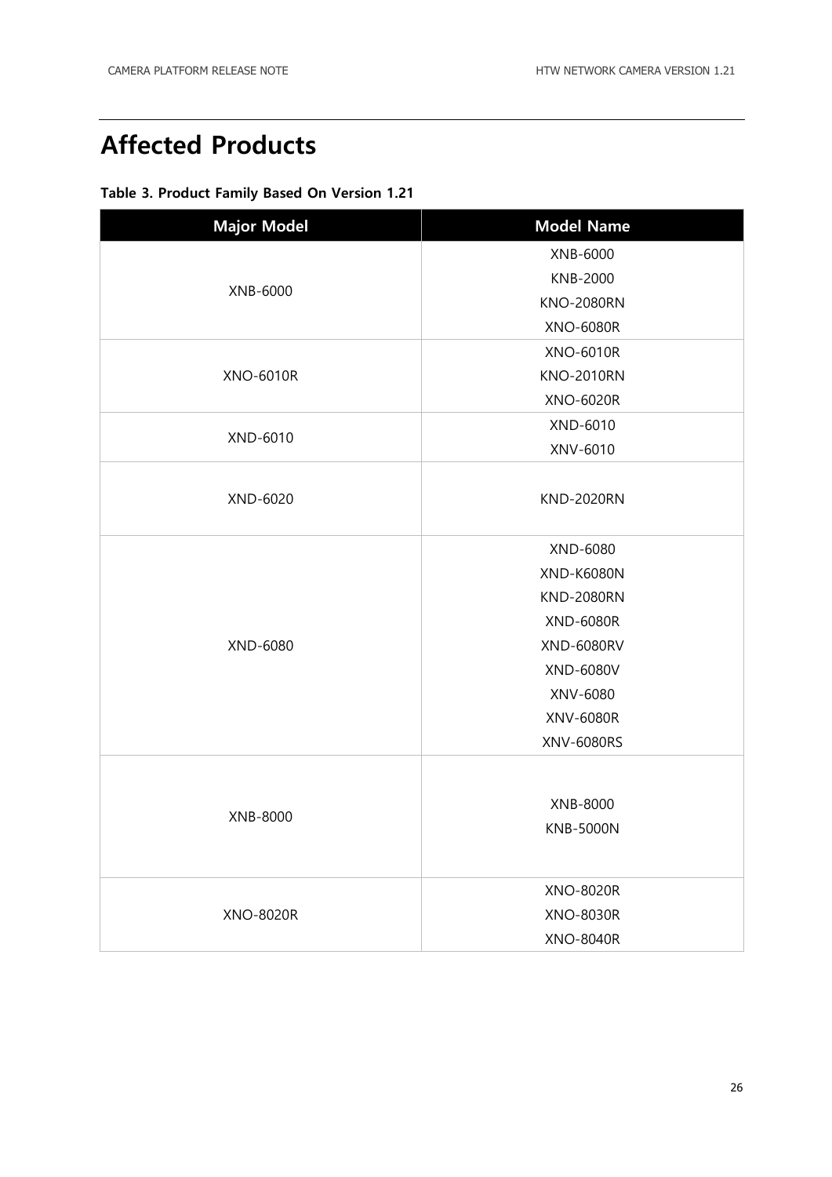### <span id="page-25-0"></span>**Affected Products**

|  | Table 3. Product Family Based On Version 1.21 |  |  |  |
|--|-----------------------------------------------|--|--|--|
|  |                                               |  |  |  |

| <b>Major Model</b> | <b>Model Name</b> |  |  |  |  |
|--------------------|-------------------|--|--|--|--|
|                    | XNB-6000          |  |  |  |  |
|                    | <b>KNB-2000</b>   |  |  |  |  |
| XNB-6000           | <b>KNO-2080RN</b> |  |  |  |  |
|                    | <b>XNO-6080R</b>  |  |  |  |  |
|                    | <b>XNO-6010R</b>  |  |  |  |  |
| <b>XNO-6010R</b>   | <b>KNO-2010RN</b> |  |  |  |  |
|                    | <b>XNO-6020R</b>  |  |  |  |  |
|                    | XND-6010          |  |  |  |  |
| XND-6010           | XNV-6010          |  |  |  |  |
|                    |                   |  |  |  |  |
| XND-6020           | <b>KND-2020RN</b> |  |  |  |  |
|                    |                   |  |  |  |  |
|                    | XND-6080          |  |  |  |  |
|                    | <b>XND-K6080N</b> |  |  |  |  |
|                    | <b>KND-2080RN</b> |  |  |  |  |
|                    | <b>XND-6080R</b>  |  |  |  |  |
| XND-6080           | <b>XND-6080RV</b> |  |  |  |  |
|                    | XND-6080V         |  |  |  |  |
|                    | XNV-6080          |  |  |  |  |
|                    | XNV-6080R         |  |  |  |  |
|                    | XNV-6080RS        |  |  |  |  |
|                    |                   |  |  |  |  |
|                    | XNB-8000          |  |  |  |  |
| XNB-8000           | <b>KNB-5000N</b>  |  |  |  |  |
|                    |                   |  |  |  |  |
|                    |                   |  |  |  |  |
|                    | <b>XNO-8020R</b>  |  |  |  |  |
| <b>XNO-8020R</b>   | <b>XNO-8030R</b>  |  |  |  |  |
|                    | <b>XNO-8040R</b>  |  |  |  |  |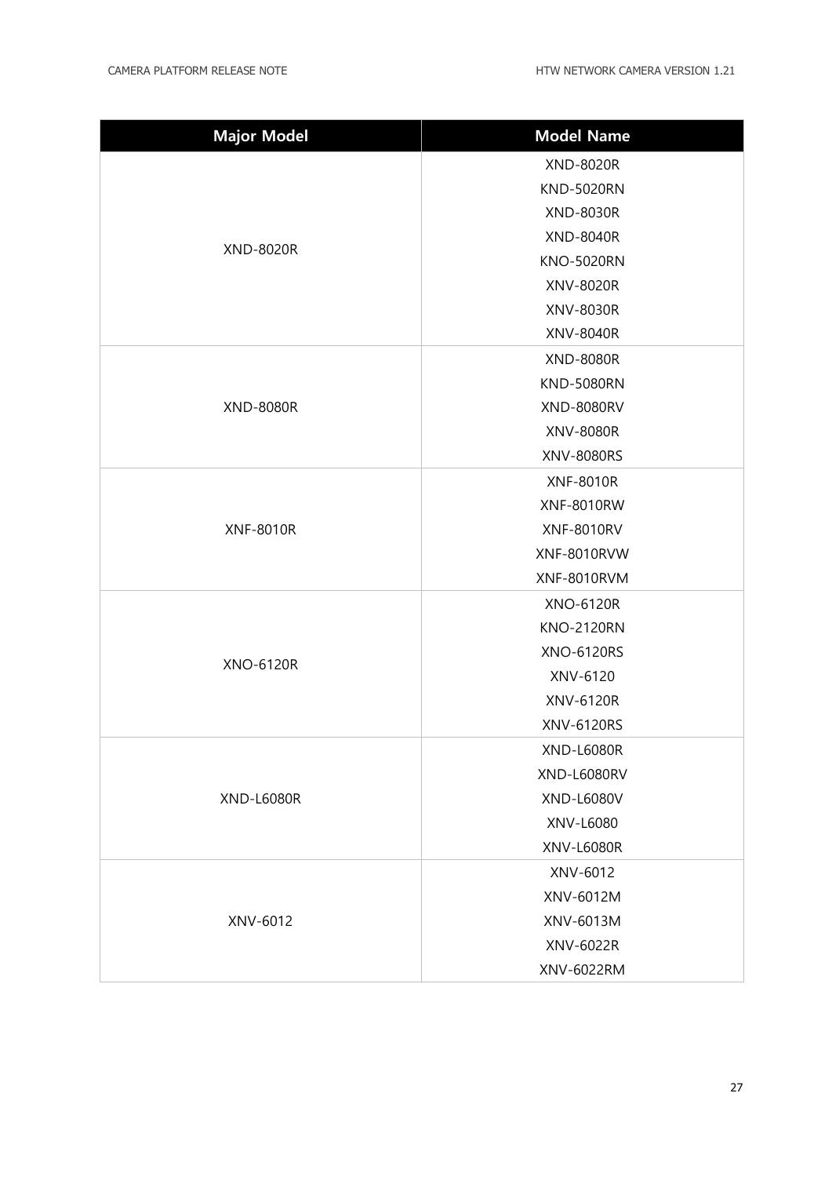| <b>Major Model</b> | <b>Model Name</b> |  |  |
|--------------------|-------------------|--|--|
|                    | <b>XND-8020R</b>  |  |  |
|                    | <b>KND-5020RN</b> |  |  |
|                    | XND-8030R         |  |  |
|                    | <b>XND-8040R</b>  |  |  |
| <b>XND-8020R</b>   | <b>KNO-5020RN</b> |  |  |
|                    | XNV-8020R         |  |  |
|                    | XNV-8030R         |  |  |
|                    | XNV-8040R         |  |  |
|                    | <b>XND-8080R</b>  |  |  |
|                    | <b>KND-5080RN</b> |  |  |
| <b>XND-8080R</b>   | <b>XND-8080RV</b> |  |  |
|                    | <b>XNV-8080R</b>  |  |  |
|                    | XNV-8080RS        |  |  |
|                    | <b>XNF-8010R</b>  |  |  |
|                    | <b>XNF-8010RW</b> |  |  |
| <b>XNF-8010R</b>   | <b>XNF-8010RV</b> |  |  |
|                    | XNF-8010RVW       |  |  |
|                    | XNF-8010RVM       |  |  |
|                    | <b>XNO-6120R</b>  |  |  |
|                    | <b>KNO-2120RN</b> |  |  |
|                    | <b>XNO-6120RS</b> |  |  |
| <b>XNO-6120R</b>   | XNV-6120          |  |  |
|                    | XNV-6120R         |  |  |
|                    | XNV-6120RS        |  |  |
|                    | <b>XND-L6080R</b> |  |  |
|                    | XND-L6080RV       |  |  |
| <b>XND-L6080R</b>  | XND-L6080V        |  |  |
|                    | XNV-L6080         |  |  |
|                    | <b>XNV-L6080R</b> |  |  |
|                    | XNV-6012          |  |  |
|                    | XNV-6012M         |  |  |
| XNV-6012           | XNV-6013M         |  |  |
|                    | XNV-6022R         |  |  |
|                    | XNV-6022RM        |  |  |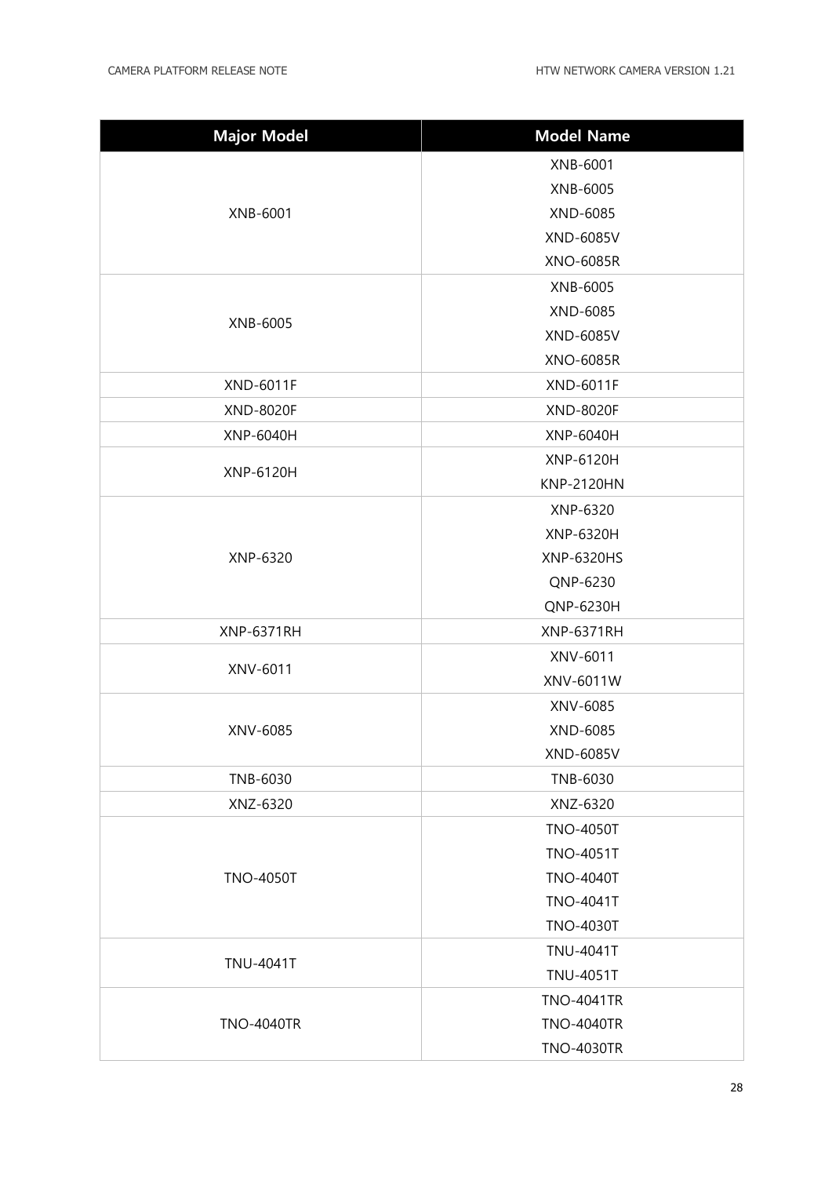| <b>Major Model</b> | <b>Model Name</b> |  |  |  |  |
|--------------------|-------------------|--|--|--|--|
|                    | XNB-6001          |  |  |  |  |
|                    | XNB-6005          |  |  |  |  |
| XNB-6001           | XND-6085          |  |  |  |  |
|                    | XND-6085V         |  |  |  |  |
|                    | <b>XNO-6085R</b>  |  |  |  |  |
|                    | XNB-6005          |  |  |  |  |
| XNB-6005           | XND-6085          |  |  |  |  |
|                    | XND-6085V         |  |  |  |  |
|                    | <b>XNO-6085R</b>  |  |  |  |  |
| <b>XND-6011F</b>   | <b>XND-6011F</b>  |  |  |  |  |
| <b>XND-8020F</b>   | <b>XND-8020F</b>  |  |  |  |  |
| XNP-6040H          | XNP-6040H         |  |  |  |  |
| XNP-6120H          | XNP-6120H         |  |  |  |  |
|                    | <b>KNP-2120HN</b> |  |  |  |  |
|                    | XNP-6320          |  |  |  |  |
|                    | XNP-6320H         |  |  |  |  |
| XNP-6320           | XNP-6320HS        |  |  |  |  |
|                    | QNP-6230          |  |  |  |  |
|                    | QNP-6230H         |  |  |  |  |
| <b>XNP-6371RH</b>  | <b>XNP-6371RH</b> |  |  |  |  |
| XNV-6011           | XNV-6011          |  |  |  |  |
|                    | XNV-6011W         |  |  |  |  |
|                    | XNV-6085          |  |  |  |  |
| XNV-6085           | XND-6085          |  |  |  |  |
|                    | XND-6085V         |  |  |  |  |
| TNB-6030           | TNB-6030          |  |  |  |  |
| XNZ-6320           | XNZ-6320          |  |  |  |  |
|                    | <b>TNO-4050T</b>  |  |  |  |  |
|                    | <b>TNO-4051T</b>  |  |  |  |  |
| <b>TNO-4050T</b>   | <b>TNO-4040T</b>  |  |  |  |  |
|                    | <b>TNO-4041T</b>  |  |  |  |  |
|                    | <b>TNO-4030T</b>  |  |  |  |  |
| <b>TNU-4041T</b>   | <b>TNU-4041T</b>  |  |  |  |  |
|                    | <b>TNU-4051T</b>  |  |  |  |  |
|                    | <b>TNO-4041TR</b> |  |  |  |  |
| <b>TNO-4040TR</b>  | <b>TNO-4040TR</b> |  |  |  |  |
|                    | <b>TNO-4030TR</b> |  |  |  |  |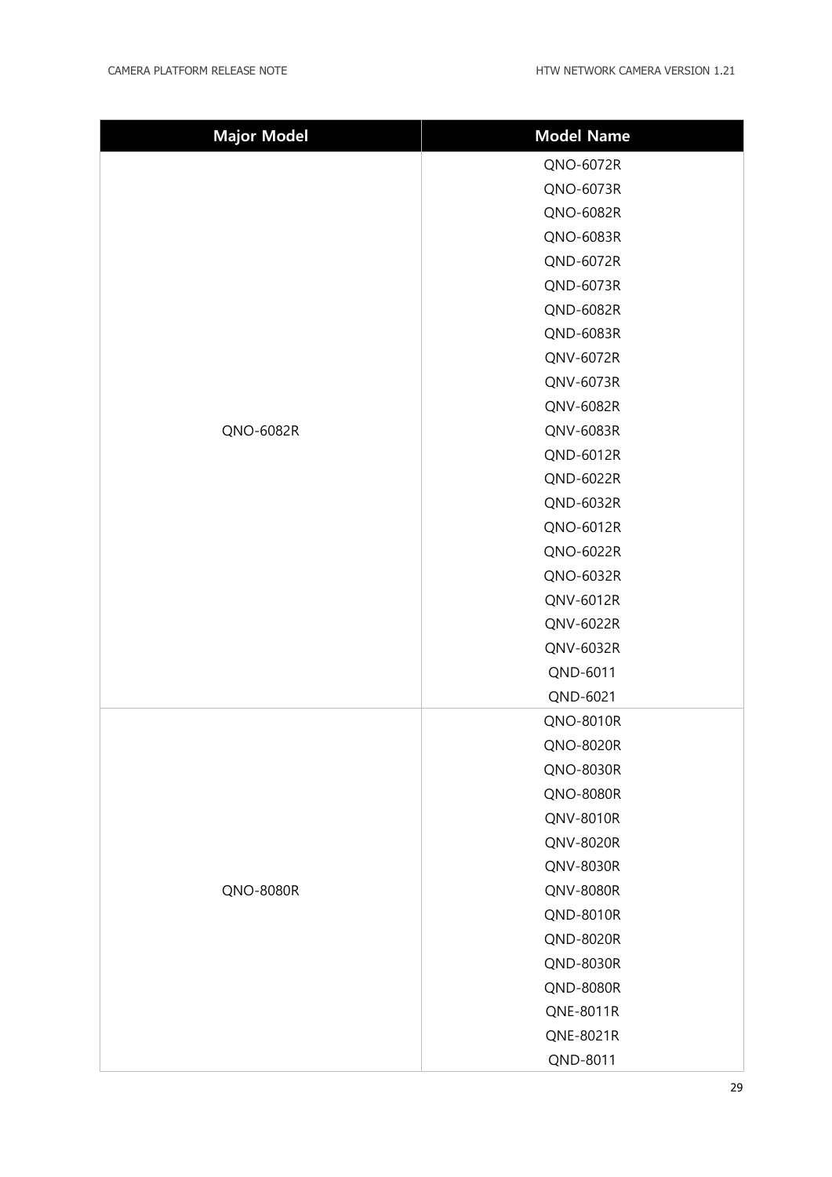| <b>Major Model</b> | <b>Model Name</b> |  |  |
|--------------------|-------------------|--|--|
|                    | QNO-6072R         |  |  |
|                    | QNO-6073R         |  |  |
|                    | QNO-6082R         |  |  |
|                    | QNO-6083R         |  |  |
|                    | QND-6072R         |  |  |
|                    | QND-6073R         |  |  |
|                    | QND-6082R         |  |  |
|                    | QND-6083R         |  |  |
|                    | QNV-6072R         |  |  |
|                    | QNV-6073R         |  |  |
|                    | QNV-6082R         |  |  |
| QNO-6082R          | QNV-6083R         |  |  |
|                    | QND-6012R         |  |  |
|                    | QND-6022R         |  |  |
|                    | QND-6032R         |  |  |
|                    | QNO-6012R         |  |  |
|                    | QNO-6022R         |  |  |
|                    | QNO-6032R         |  |  |
|                    | QNV-6012R         |  |  |
|                    | QNV-6022R         |  |  |
|                    | QNV-6032R         |  |  |
|                    | QND-6011          |  |  |
|                    | QND-6021          |  |  |
|                    | QNO-8010R         |  |  |
|                    | QNO-8020R         |  |  |
|                    | QNO-8030R         |  |  |
|                    | <b>QNO-8080R</b>  |  |  |
|                    | QNV-8010R         |  |  |
|                    | QNV-8020R         |  |  |
|                    | QNV-8030R         |  |  |
| QNO-8080R          | QNV-8080R         |  |  |
|                    | QND-8010R         |  |  |
|                    | QND-8020R         |  |  |
|                    | QND-8030R         |  |  |
|                    | <b>QND-8080R</b>  |  |  |
|                    | QNE-8011R         |  |  |
|                    | QNE-8021R         |  |  |
|                    | QND-8011          |  |  |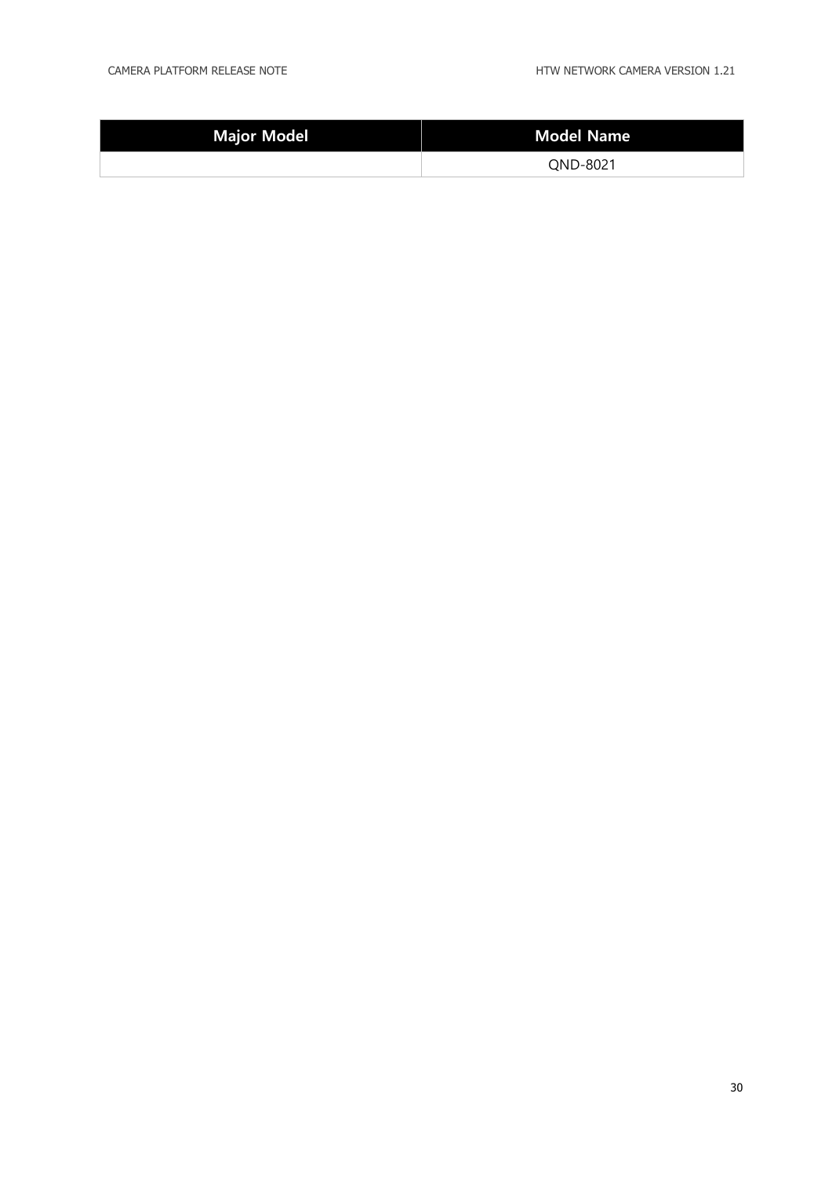| Major Model | Model Name |  |  |
|-------------|------------|--|--|
|             | QND-8021   |  |  |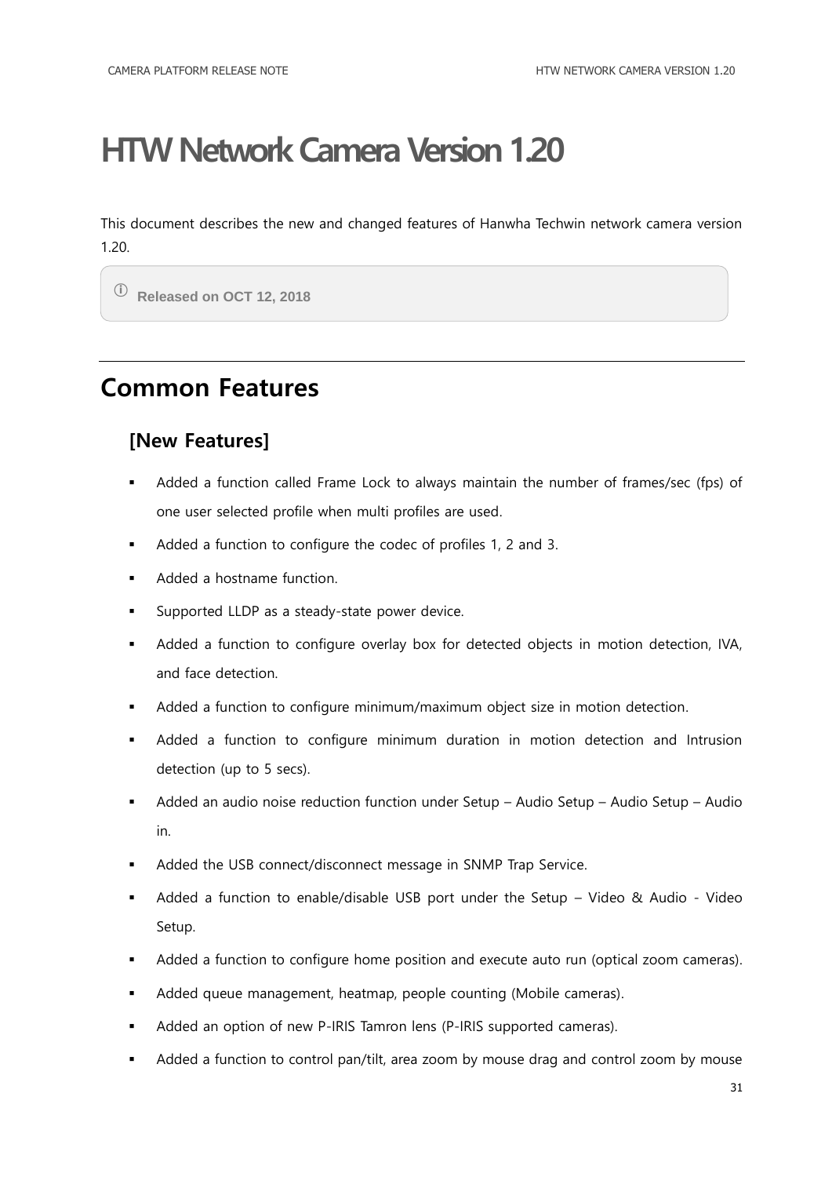<span id="page-30-0"></span>This document describes the new and changed features of Hanwha Techwin network camera version 1.20.

ⓘ **Released on OCT 12, 2018**

### <span id="page-30-1"></span>**Common Features**

#### **[New Features]**

- Added a function called Frame Lock to always maintain the number of frames/sec (fps) of one user selected profile when multi profiles are used.
- Added a function to configure the codec of profiles 1, 2 and 3.
- Added a hostname function.
- **Supported LLDP** as a steady-state power device.
- Added a function to configure overlay box for detected objects in motion detection, IVA, and face detection.
- Added a function to configure minimum/maximum object size in motion detection.
- Added a function to configure minimum duration in motion detection and Intrusion detection (up to 5 secs).
- Added an audio noise reduction function under Setup Audio Setup Audio Setup Audio in.
- Added the USB connect/disconnect message in SNMP Trap Service.
- Added a function to enable/disable USB port under the Setup Video & Audio Video Setup.
- Added a function to configure home position and execute auto run (optical zoom cameras).
- Added queue management, heatmap, people counting (Mobile cameras).
- Added an option of new P-IRIS Tamron lens (P-IRIS supported cameras).
- Added a function to control pan/tilt, area zoom by mouse drag and control zoom by mouse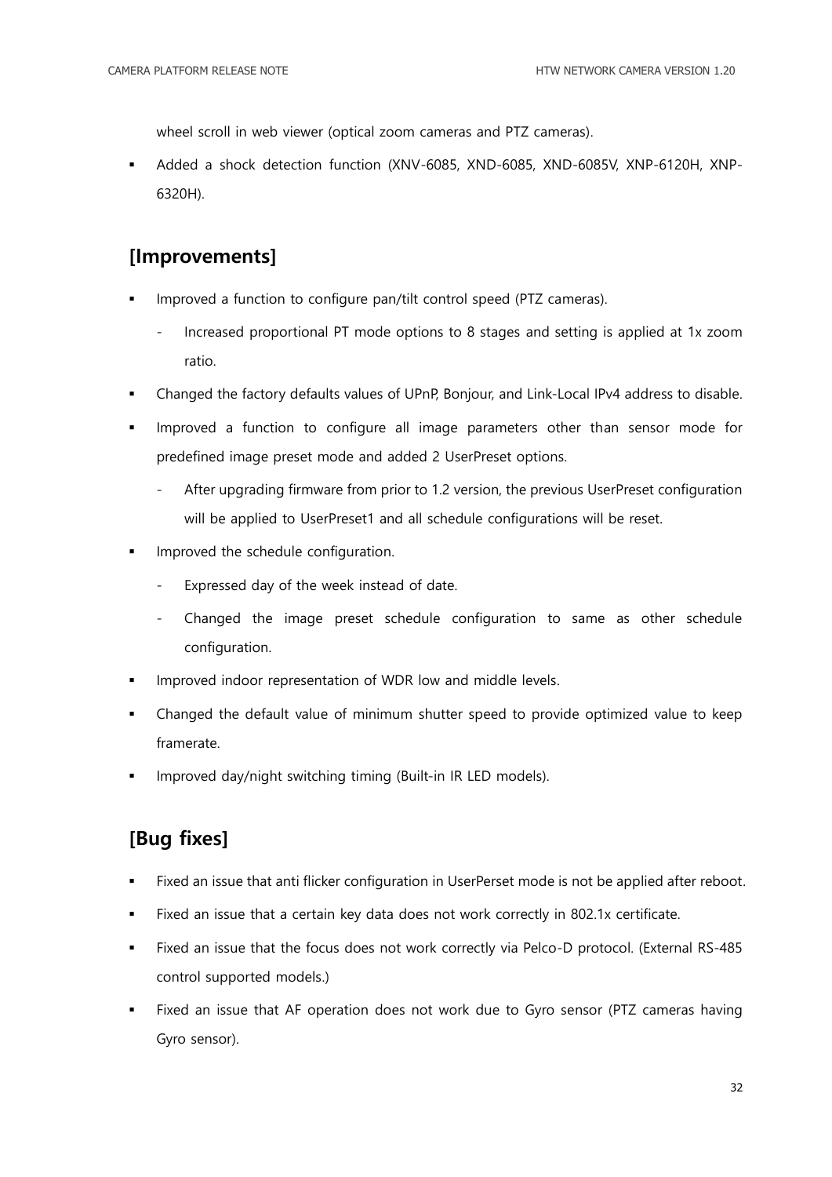wheel scroll in web viewer (optical zoom cameras and PTZ cameras).

 Added a shock detection function (XNV-6085, XND-6085, XND-6085V, XNP-6120H, XNP-6320H).

#### **[Improvements]**

- Improved a function to configure pan/tilt control speed (PTZ cameras).
	- Increased proportional PT mode options to 8 stages and setting is applied at 1x zoom ratio.
- Changed the factory defaults values of UPnP, Bonjour, and Link-Local IPv4 address to disable.
- Improved a function to configure all image parameters other than sensor mode for predefined image preset mode and added 2 UserPreset options.
	- After upgrading firmware from prior to 1.2 version, the previous UserPreset configuration will be applied to UserPreset1 and all schedule configurations will be reset.
- **IMPROVED THE SCHEDULE CONFIGURATION.** 
	- Expressed day of the week instead of date.
	- Changed the image preset schedule configuration to same as other schedule configuration.
- Improved indoor representation of WDR low and middle levels.
- Changed the default value of minimum shutter speed to provide optimized value to keep framerate.
- Improved day/night switching timing (Built-in IR LED models).

#### **[Bug fixes]**

- Fixed an issue that anti flicker configuration in UserPerset mode is not be applied after reboot.
- Fixed an issue that a certain key data does not work correctly in 802.1x certificate.
- Fixed an issue that the focus does not work correctly via Pelco-D protocol. (External RS-485 control supported models.)
- Fixed an issue that AF operation does not work due to Gyro sensor (PTZ cameras having Gyro sensor).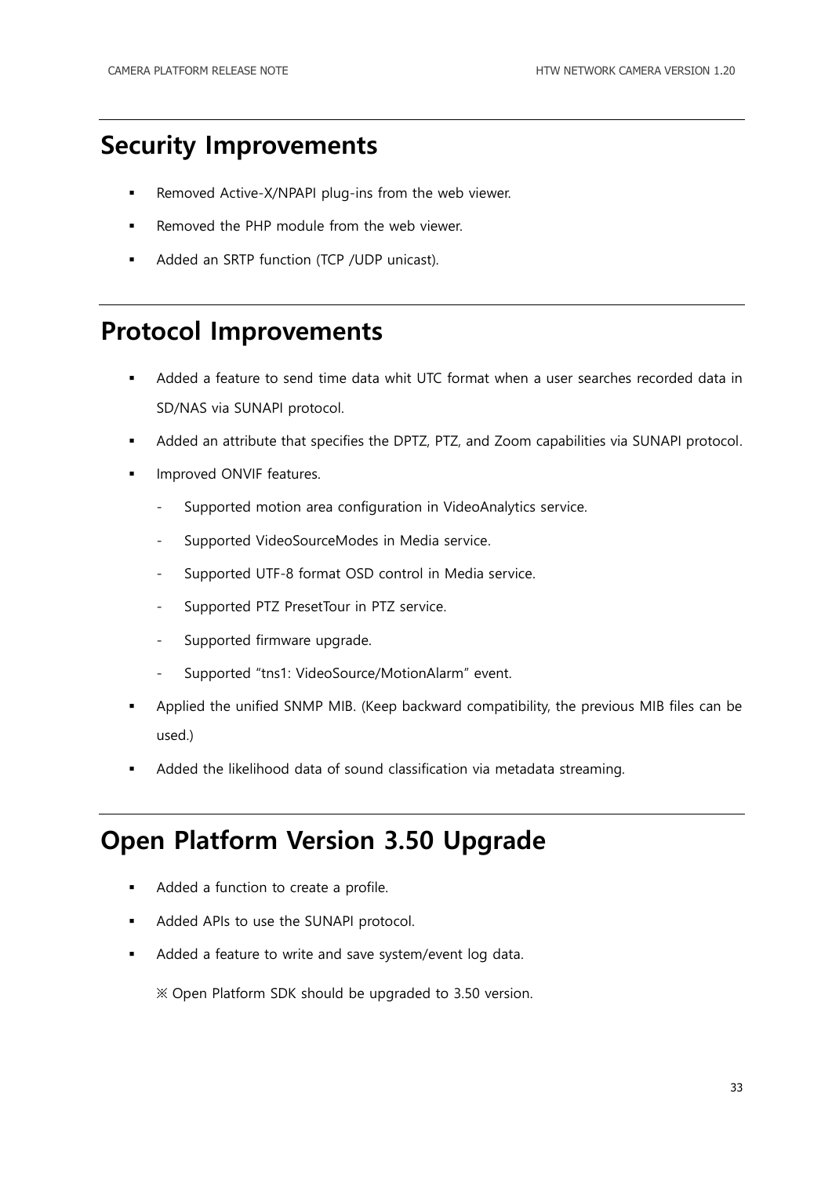### <span id="page-32-0"></span>**Security Improvements**

- Removed Active-X/NPAPI plug-ins from the web viewer.
- Removed the PHP module from the web viewer.
- Added an SRTP function (TCP /UDP unicast).

#### <span id="page-32-1"></span>**Protocol Improvements**

- Added a feature to send time data whit UTC format when a user searches recorded data in SD/NAS via SUNAPI protocol.
- Added an attribute that specifies the DPTZ, PTZ, and Zoom capabilities via SUNAPI protocol.
- **IMPROVED ONVIF features.** 
	- Supported motion area configuration in VideoAnalytics service.
	- Supported VideoSourceModes in Media service.
	- Supported UTF-8 format OSD control in Media service.
	- Supported PTZ PresetTour in PTZ service.
	- Supported firmware upgrade.
	- Supported "tns1: VideoSource/MotionAlarm" event.
- Applied the unified SNMP MIB. (Keep backward compatibility, the previous MIB files can be used.)
- Added the likelihood data of sound classification via metadata streaming.

#### <span id="page-32-2"></span>**Open Platform Version 3.50 Upgrade**

- Added a function to create a profile.
- Added APIs to use the SUNAPI protocol.
- Added a feature to write and save system/event log data.

※ Open Platform SDK should be upgraded to 3.50 version.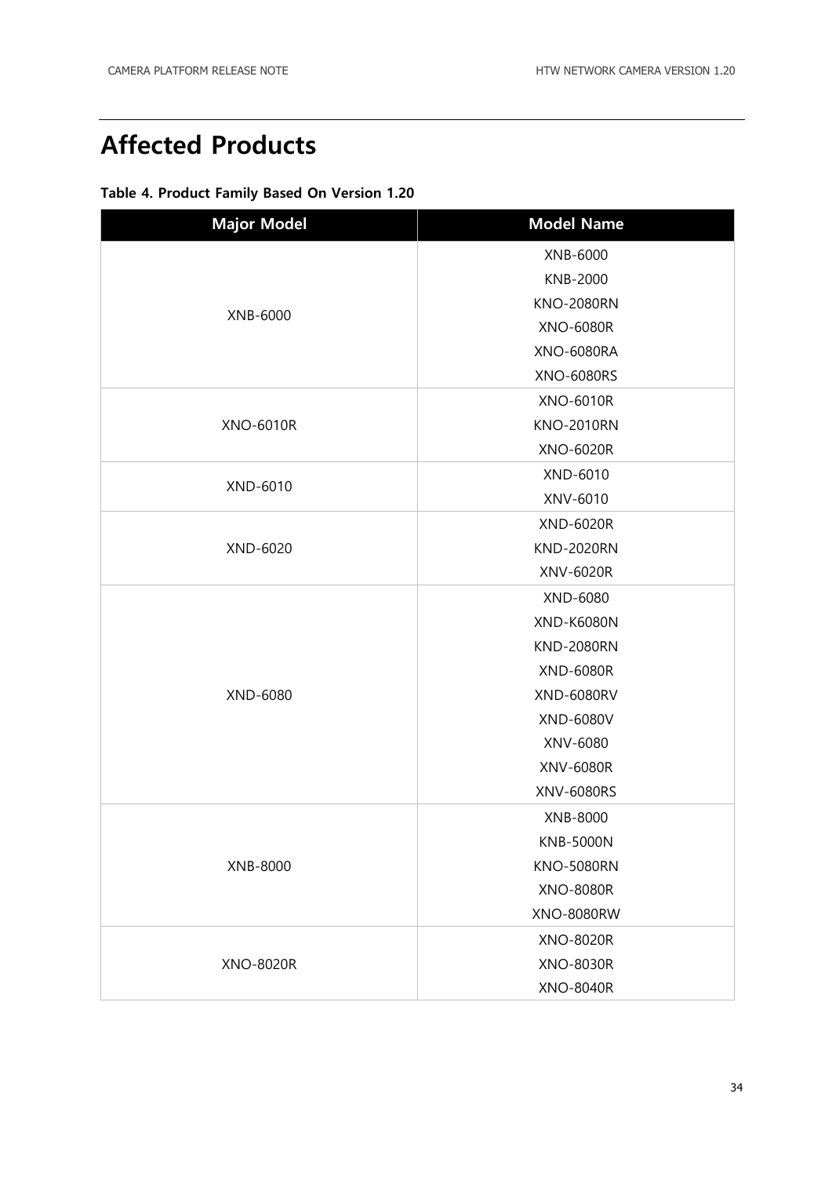### <span id="page-33-0"></span>**Affected Products**

| Table 4. Product Family Based On Version 1.20 |  |  |  |
|-----------------------------------------------|--|--|--|
|                                               |  |  |  |

| <b>Major Model</b> | <b>Model Name</b> |  |  |  |  |
|--------------------|-------------------|--|--|--|--|
|                    | XNB-6000          |  |  |  |  |
|                    | KNB-2000          |  |  |  |  |
|                    | <b>KNO-2080RN</b> |  |  |  |  |
| XNB-6000           | <b>XNO-6080R</b>  |  |  |  |  |
|                    | <b>XNO-6080RA</b> |  |  |  |  |
|                    | <b>XNO-6080RS</b> |  |  |  |  |
|                    | <b>XNO-6010R</b>  |  |  |  |  |
| <b>XNO-6010R</b>   | <b>KNO-2010RN</b> |  |  |  |  |
|                    | <b>XNO-6020R</b>  |  |  |  |  |
|                    | XND-6010          |  |  |  |  |
| XND-6010           | XNV-6010          |  |  |  |  |
|                    | <b>XND-6020R</b>  |  |  |  |  |
| XND-6020           | <b>KND-2020RN</b> |  |  |  |  |
|                    | XNV-6020R         |  |  |  |  |
|                    | XND-6080          |  |  |  |  |
|                    | <b>XND-K6080N</b> |  |  |  |  |
|                    | <b>KND-2080RN</b> |  |  |  |  |
|                    | <b>XND-6080R</b>  |  |  |  |  |
| XND-6080           | <b>XND-6080RV</b> |  |  |  |  |
|                    | XND-6080V         |  |  |  |  |
|                    | XNV-6080          |  |  |  |  |
|                    | XNV-6080R         |  |  |  |  |
|                    | XNV-6080RS        |  |  |  |  |
|                    | XNB-8000          |  |  |  |  |
|                    | <b>KNB-5000N</b>  |  |  |  |  |
| XNB-8000           | <b>KNO-5080RN</b> |  |  |  |  |
|                    | <b>XNO-8080R</b>  |  |  |  |  |
|                    | <b>XNO-8080RW</b> |  |  |  |  |
|                    | <b>XNO-8020R</b>  |  |  |  |  |
| <b>XNO-8020R</b>   | <b>XNO-8030R</b>  |  |  |  |  |
|                    | <b>XNO-8040R</b>  |  |  |  |  |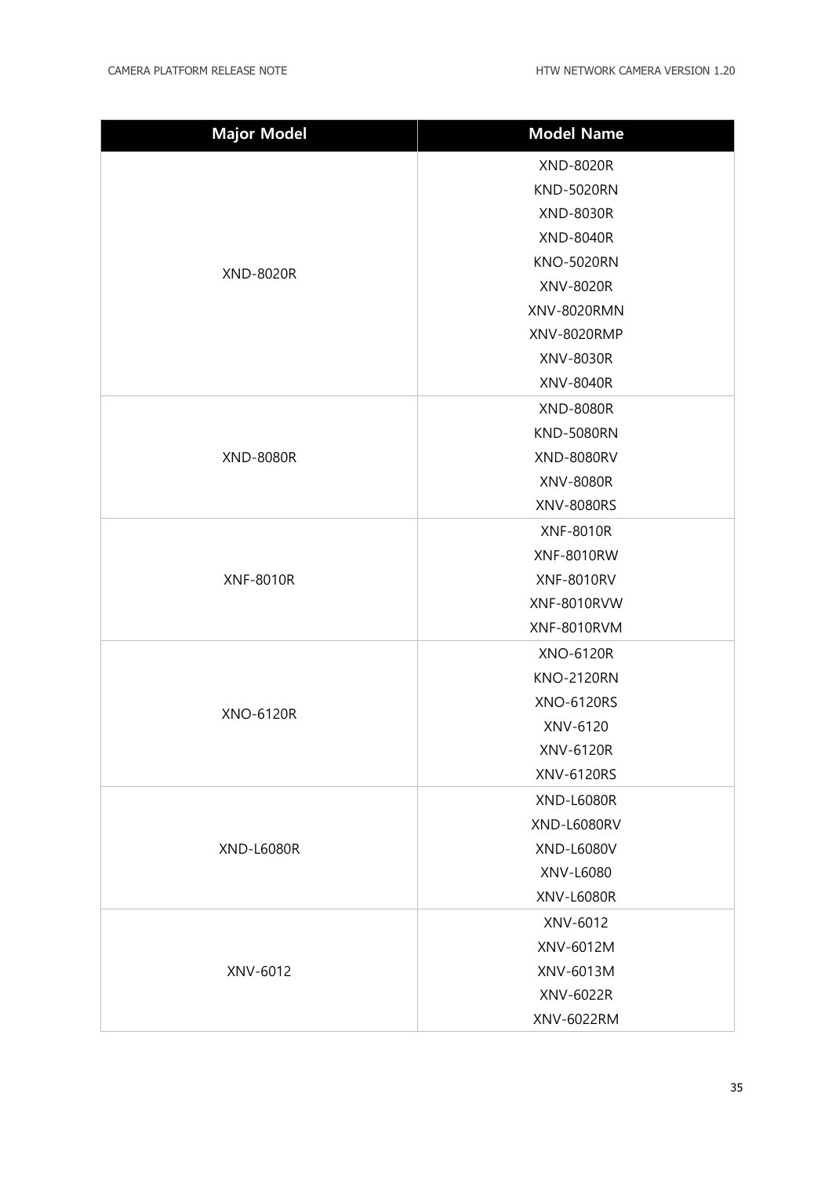| <b>Major Model</b> | <b>Model Name</b>  |  |  |  |  |
|--------------------|--------------------|--|--|--|--|
|                    | XND-8020R          |  |  |  |  |
|                    | <b>KND-5020RN</b>  |  |  |  |  |
|                    | <b>XND-8030R</b>   |  |  |  |  |
|                    | <b>XND-8040R</b>   |  |  |  |  |
| <b>XND-8020R</b>   | <b>KNO-5020RN</b>  |  |  |  |  |
|                    | XNV-8020R          |  |  |  |  |
|                    | <b>XNV-8020RMN</b> |  |  |  |  |
|                    | XNV-8020RMP        |  |  |  |  |
|                    | XNV-8030R          |  |  |  |  |
|                    | <b>XNV-8040R</b>   |  |  |  |  |
|                    | <b>XND-8080R</b>   |  |  |  |  |
|                    | <b>KND-5080RN</b>  |  |  |  |  |
| <b>XND-8080R</b>   | <b>XND-8080RV</b>  |  |  |  |  |
|                    | <b>XNV-8080R</b>   |  |  |  |  |
|                    | XNV-8080RS         |  |  |  |  |
|                    | <b>XNF-8010R</b>   |  |  |  |  |
|                    | <b>XNF-8010RW</b>  |  |  |  |  |
| <b>XNF-8010R</b>   | <b>XNF-8010RV</b>  |  |  |  |  |
|                    | XNF-8010RVW        |  |  |  |  |
|                    | XNF-8010RVM        |  |  |  |  |
|                    | <b>XNO-6120R</b>   |  |  |  |  |
|                    | <b>KNO-2120RN</b>  |  |  |  |  |
| <b>XNO-6120R</b>   | <b>XNO-6120RS</b>  |  |  |  |  |
|                    | XNV-6120           |  |  |  |  |
|                    | <b>XNV-6120R</b>   |  |  |  |  |
|                    | XNV-6120RS         |  |  |  |  |
|                    | <b>XND-L6080R</b>  |  |  |  |  |
|                    | XND-L6080RV        |  |  |  |  |
| <b>XND-L6080R</b>  | XND-L6080V         |  |  |  |  |
|                    | XNV-L6080          |  |  |  |  |
|                    | <b>XNV-L6080R</b>  |  |  |  |  |
|                    | XNV-6012           |  |  |  |  |
|                    | XNV-6012M          |  |  |  |  |
| XNV-6012           | XNV-6013M          |  |  |  |  |
|                    | XNV-6022R          |  |  |  |  |
|                    | XNV-6022RM         |  |  |  |  |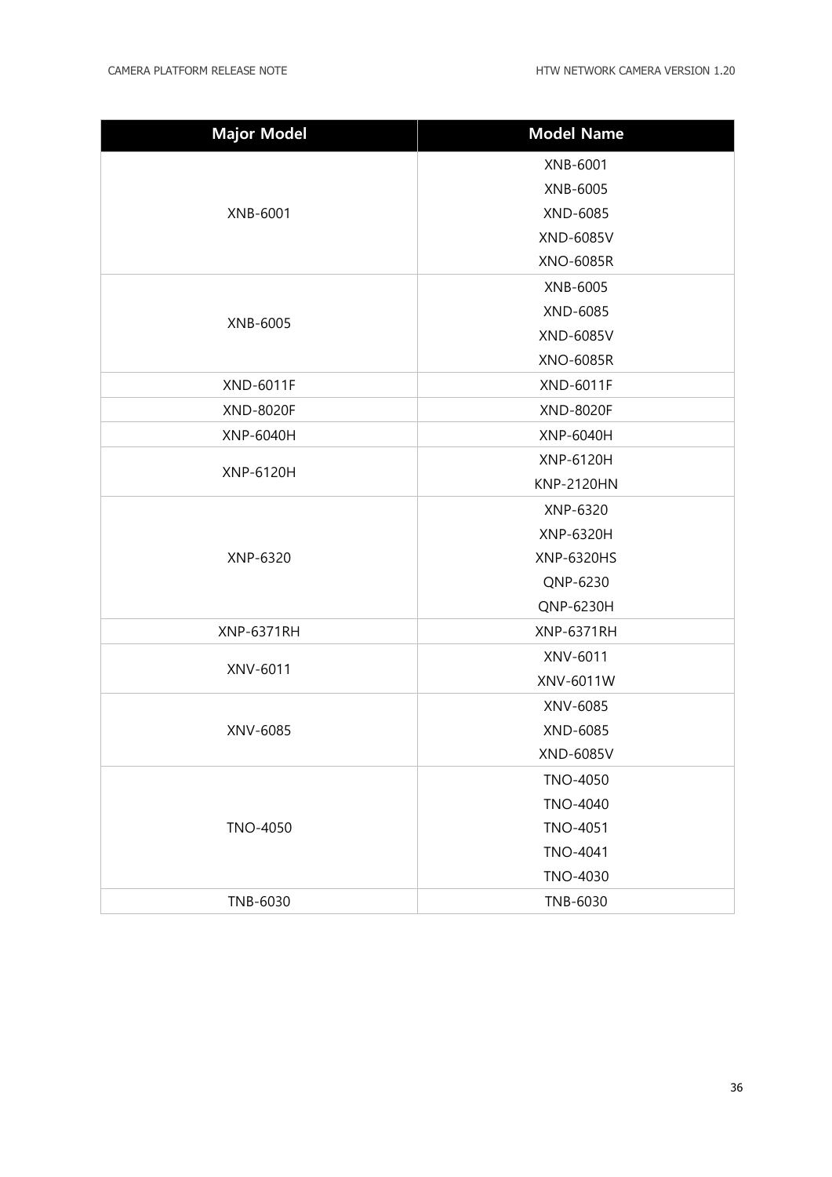| <b>Major Model</b> | <b>Model Name</b> |  |  |  |
|--------------------|-------------------|--|--|--|
|                    | XNB-6001          |  |  |  |
|                    | XNB-6005          |  |  |  |
| XNB-6001           | XND-6085          |  |  |  |
|                    | <b>XND-6085V</b>  |  |  |  |
|                    | <b>XNO-6085R</b>  |  |  |  |
|                    | XNB-6005          |  |  |  |
|                    | XND-6085          |  |  |  |
| XNB-6005           | <b>XND-6085V</b>  |  |  |  |
|                    | <b>XNO-6085R</b>  |  |  |  |
| <b>XND-6011F</b>   | <b>XND-6011F</b>  |  |  |  |
| <b>XND-8020F</b>   | <b>XND-8020F</b>  |  |  |  |
| <b>XNP-6040H</b>   | XNP-6040H         |  |  |  |
|                    | <b>XNP-6120H</b>  |  |  |  |
| <b>XNP-6120H</b>   | <b>KNP-2120HN</b> |  |  |  |
|                    | XNP-6320          |  |  |  |
|                    | XNP-6320H         |  |  |  |
| XNP-6320           | XNP-6320HS        |  |  |  |
|                    | QNP-6230          |  |  |  |
|                    | QNP-6230H         |  |  |  |
| <b>XNP-6371RH</b>  | <b>XNP-6371RH</b> |  |  |  |
|                    | XNV-6011          |  |  |  |
| XNV-6011           | XNV-6011W         |  |  |  |
|                    | XNV-6085          |  |  |  |
| XNV-6085           | XND-6085          |  |  |  |
|                    | XND-6085V         |  |  |  |
|                    | TNO-4050          |  |  |  |
|                    | TNO-4040          |  |  |  |
| TNO-4050           | <b>TNO-4051</b>   |  |  |  |
|                    | TNO-4041          |  |  |  |
|                    | TNO-4030          |  |  |  |
| TNB-6030           | TNB-6030          |  |  |  |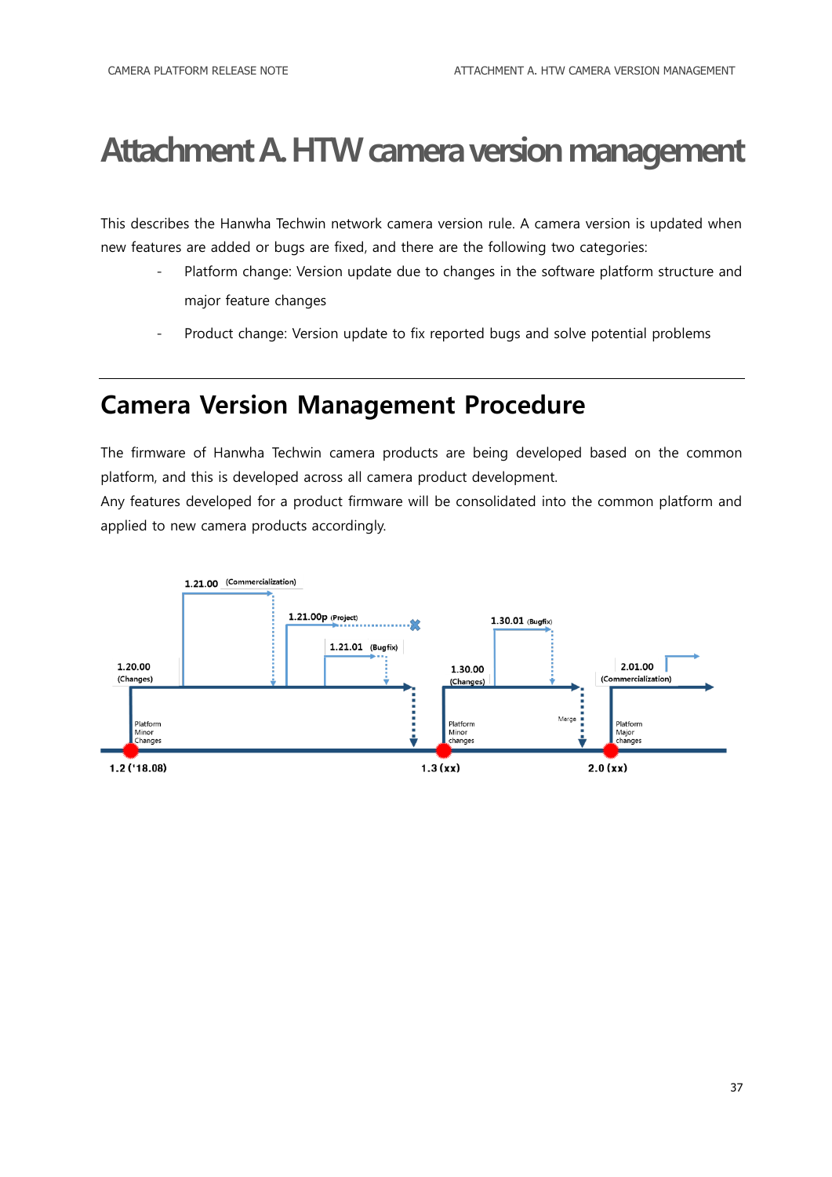## <span id="page-36-0"></span>**Attachment A. HTW camera version management**

This describes the Hanwha Techwin network camera version rule. A camera version is updated when new features are added or bugs are fixed, and there are the following two categories:

- Platform change: Version update due to changes in the software platform structure and major feature changes
- Product change: Version update to fix reported bugs and solve potential problems

#### <span id="page-36-1"></span>**Camera Version Management Procedure**

The firmware of Hanwha Techwin camera products are being developed based on the common platform, and this is developed across all camera product development.

Any features developed for a product firmware will be consolidated into the common platform and applied to new camera products accordingly.